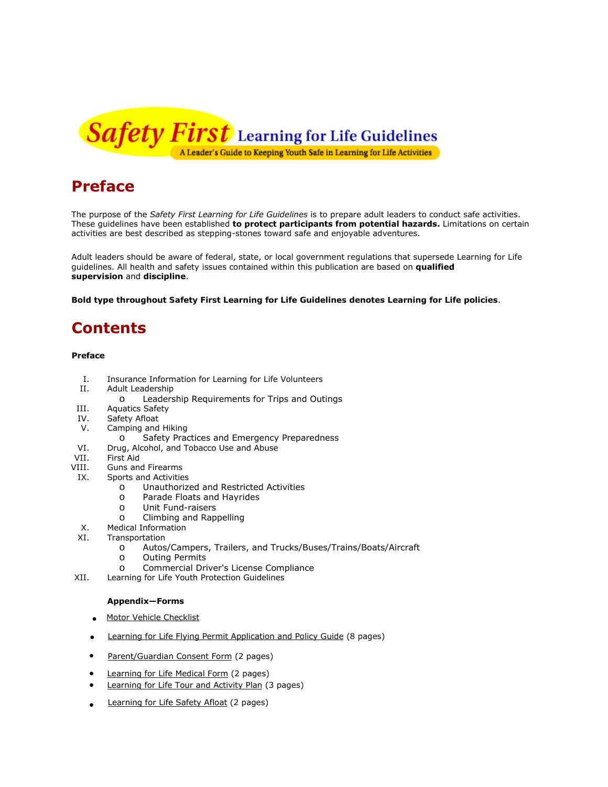

# **Preface**

The purpose of the *Safety First Learning for Life Guidelines* is to prepare adult leaders to conduct safe activities. These guidelines have been established **to protect participants from potential hazards.** Limitations on certain activities are best described as stepping-stones toward safe and enjoyable adventures.

Adult leaders should be aware of federal, state, or local government regulations that supersede Learning for Life guidelines. All health and safety issues contained within this publication are based on **qualified supervision** and **discipline**.

**Bold type throughout** *Safety First Learning for Life Guidelines* **denotes Learning for Life policies**.

# **Contents**

#### **Preface**

- I. Insurance Information for Learning for Life Volunteers<br>II. Adult Leadership
- Adult Leadership
	- o Leadership Requirements for Trips and Outings
- III. Aquatics Safety<br>IV. Safety Afloat
- IV. Safety Afloat<br>V. Camping and
- Camping and Hiking
	- o Safety Practices and Emergency Preparedness
- VI. Drug, Alcohol, and Tobacco Use and Abuse<br>VII. First Aid
- VII. First Aid<br>VIII. Guns an
- Guns and Firearms
- IX. Sports and Activities
	- o Unauthorized and Restricted Activities<br>o Parade Floats and Hayrides
	- o Parade Floats and Hayrides<br>o Unit Fund-raisers
	- o Unit Fund-raisers<br>O Climbing and Rani
	- Climbing and Rappelling
- X. Medical Information
- XI. Transportation
	- o Autos/Campers, Trailers, and Trucks/Buses/Trains/Boats/Aircraft
	- o Outing Permits<br>o Commercial Dri
	- Commercial Driver's License Compliance
- XII. Learning for Life Youth Protection Guidelines

#### **Appendix—Forms**

- Motor Vehicle [Checklist](http://exploring.learningforlife.org/lfl/resources/guidesafe/vehiclecheck.pdf)
- [Learning](http://exploring.learningforlife.org/lfl/resources/guidesafe/flyingpermit.pdf) for Life Flying Permit Application and Policy Guide (8 pages)
- [Parent/Guardian Consent Form](http://exploring.learningforlife.org/lfl/resources/guidesafe/consentform.pdf) (2 pages)
- [Learning for Life Medical Form](http://learningforlife.org/wp-content/documents/LFL_Medical_Form_680-024.pdf) (2 pages)
- Learning for Life Tour and Activity Plan (3 pages)
- [Learning](http://exploring.learningforlife.org/lfl/resources/guidesafe/afloat.pdf) for Life Safety Afloat (2 pages)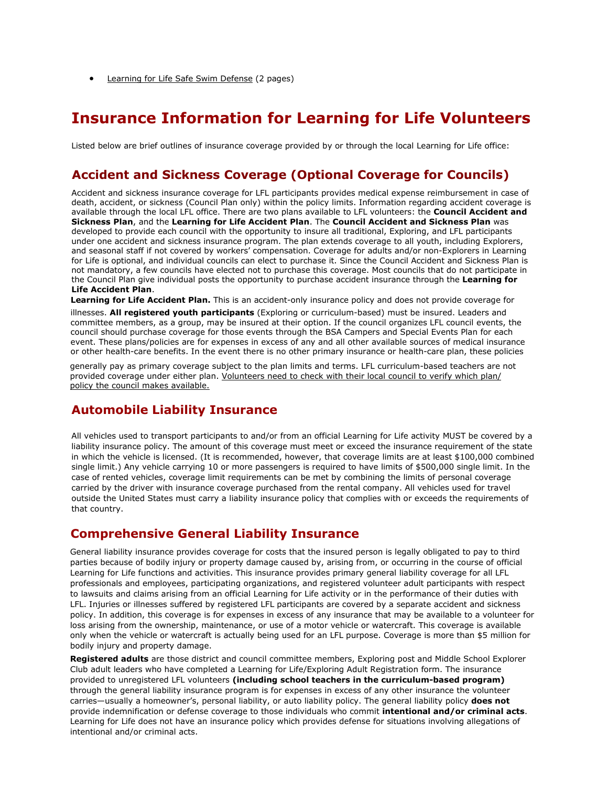• [Learning for Life Safe Swim Defense](http://exploring.learningforlife.org/lfl/resources/guidesafe/safeswim.pdf) (2 pages)

# **Insurance Information for Learning for Life Volunteers**

Listed below are brief outlines of insurance coverage provided by or through the local Learning for Life office:

# **Accident and Sickness Coverage (Optional Coverage for Councils)**

Accident and sickness insurance coverage for LFL participants provides medical expense reimbursement in case of death, accident, or sickness (Council Plan only) within the policy limits. Information regarding accident coverage is available through the local LFL office. There are two plans available to LFL volunteers: the **Council Accident and Sickness Plan**, and the **Learning for Life Accident Plan**. The **Council Accident and Sickness Plan** was developed to provide each council with the opportunity to insure all traditional, Exploring, and LFL participants under one accident and sickness insurance program. The plan extends coverage to all youth, including Explorers, and seasonal staff if not covered by workers' compensation. Coverage for adults and/or non-Explorers in Learning for Life is optional, and individual councils can elect to purchase it. Since the Council Accident and Sickness Plan is not mandatory, a few councils have elected not to purchase this coverage. Most councils that do not participate in the Council Plan give individual posts the opportunity to purchase accident insurance through the **Learning for Life Accident Plan**.

**Learning for Life Accident Plan.** This is an accident-only insurance policy and does not provide coverage for

illnesses. **All registered youth participants** (Exploring or curriculum-based) must be insured. Leaders and committee members, as a group, may be insured at their option. If the council organizes LFL council events, the council should purchase coverage for those events through the BSA Campers and Special Events Plan for each event. These plans/policies are for expenses in excess of any and all other available sources of medical insurance or other health-care benefits. In the event there is no other primary insurance or health-care plan, these policies

generally pay as primary coverage subject to the plan limits and terms. LFL curriculum-based teachers are not provided coverage under either plan. Volunteers need to check with their local council to verify which plan/ policy the council makes available.

### **Automobile Liability Insurance**

All vehicles used to transport participants to and/or from an official Learning for Life activity MUST be covered by a liability insurance policy. The amount of this coverage must meet or exceed the insurance requirement of the state in which the vehicle is licensed. (It is recommended, however, that coverage limits are at least \$100,000 combined single limit.) Any vehicle carrying 10 or more passengers is required to have limits of \$500,000 single limit. In the case of rented vehicles, coverage limit requirements can be met by combining the limits of personal coverage carried by the driver with insurance coverage purchased from the rental company. All vehicles used for travel outside the United States must carry a liability insurance policy that complies with or exceeds the requirements of that country.

### **Comprehensive General Liability Insurance**

General liability insurance provides coverage for costs that the insured person is legally obligated to pay to third parties because of bodily injury or property damage caused by, arising from, or occurring in the course of official Learning for Life functions and activities. This insurance provides primary general liability coverage for all LFL professionals and employees, participating organizations, and registered volunteer adult participants with respect to lawsuits and claims arising from an official Learning for Life activity or in the performance of their duties with LFL. Injuries or illnesses suffered by registered LFL participants are covered by a separate accident and sickness policy. In addition, this coverage is for expenses in excess of any insurance that may be available to a volunteer for loss arising from the ownership, maintenance, or use of a motor vehicle or watercraft. This coverage is available only when the vehicle or watercraft is actually being used for an LFL purpose. Coverage is more than \$5 million for bodily injury and property damage.

**Registered adults** are those district and council committee members, Exploring post and Middle School Explorer Club adult leaders who have completed a Learning for Life/Exploring Adult Registration form. The insurance provided to unregistered LFL volunteers **(including school teachers in the curriculum-based program)** through the general liability insurance program is for expenses in excess of any other insurance the volunteer carries—usually a homeowner's, personal liability, or auto liability policy. The general liability policy **does not**  provide indemnification or defense coverage to those individuals who commit **intentional and/or criminal acts**. Learning for Life does not have an insurance policy which provides defense for situations involving allegations of intentional and/or criminal acts.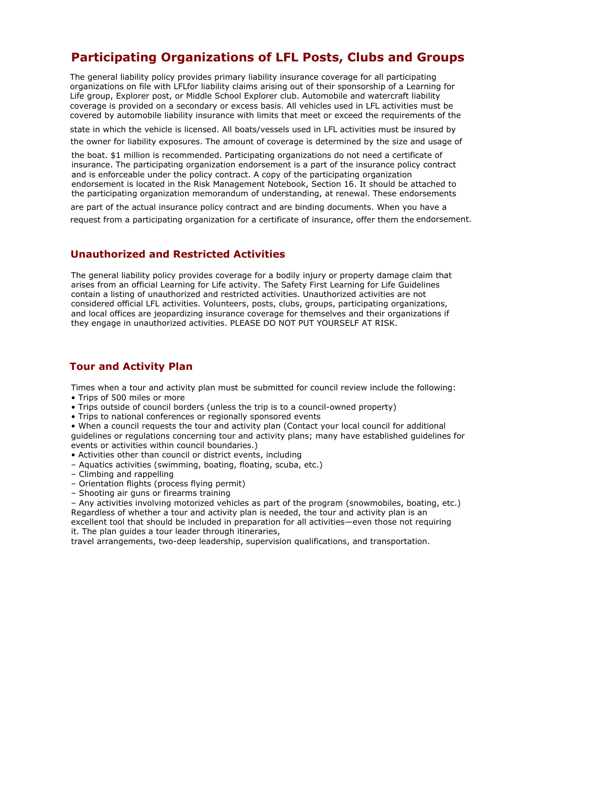# **Participating Organizations of LFL Posts, Clubs and Groups**

The general liability policy provides primary liability insurance coverage for all participating organizations on file with LFLfor liability claims arising out of their sponsorship of a Learning for Life group, Explorer post, or Middle School Explorer club. Automobile and watercraft liability coverage is provided on a secondary or excess basis. All vehicles used in LFL activities must be covered by automobile liability insurance with limits that meet or exceed the requirements of the

state in which the vehicle is licensed. All boats/vessels used in LFL activities must be insured by the owner for liability exposures. The amount of coverage is determined by the size and usage of

the boat. \$1 million is recommended. Participating organizations do not need a certificate of insurance. The participating organization endorsement is a part of the insurance policy contract and is enforceable under the policy contract. A copy of the participating organization endorsement is located in the Risk Management Notebook, Section 16. It should be attached to the participating organization memorandum of understanding, at renewal. These endorsements

are part of the actual insurance policy contract and are binding documents. When you have a request from a participating organization for a certificate of insurance, offer them the endorsement.

### **Unauthorized and Restricted Activities**

The general liability policy provides coverage for a bodily injury or property damage claim that arises from an official Learning for Life activity. The Safety First Learning for Life Guidelines contain a listing of unauthorized and restricted activities. Unauthorized activities are not considered official LFL activities. Volunteers, posts, clubs, groups, participating organizations, and local offices are jeopardizing insurance coverage for themselves and their organizations if they engage in unauthorized activities. PLEASE DO NOT PUT YOURSELF AT RISK.

### **Tour and Activity Plan**

Times when a tour and activity plan must be submitted for council review include the following:

- Trips of 500 miles or more
- Trips outside of council borders (unless the trip is to a council-owned property)
- Trips to national conferences or regionally sponsored events

• When a council requests the tour and activity plan (Contact your local council for additional guidelines or regulations concerning tour and activity plans; many have established guidelines for events or activities within council boundaries.)

- Activities other than council or district events, including
- Aquatics ac[tivities \(swimming, boating, floating, scuba, etc.\)](http://www.learning-for-life.org/exploring/lawenforcement)
- Climbing and rappelling
- Orientation flights (process flying permit)
- Shooting air guns or firearms training

– Any activities involving motorized vehicles as part of the program (snowmobiles, boating, et[c.\)](http://www.learning-for-life.org/exploring/skilledtrades) Regardless of whether a tour and activity plan is needed, the tour and activity plan is an [excellent tool that should be included in preparation for all activ](http://www.learning-for-life.org/exploring/skilledtrades)ities—even those not requiring

it. The plan guides a tour leader through itineraries, travel arrangements, two-deep leadership, supervision qualifications, and transportation.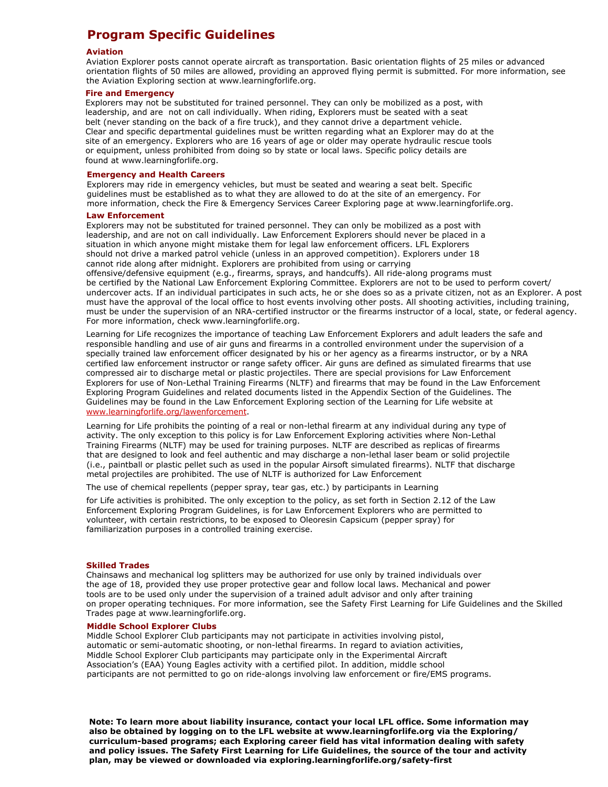# **Program Specific Guidelines**

#### **Aviation**

Aviation Explorer posts cannot operate aircraft as transportation. Basic orientation flights of 25 miles or advanced orientation flights of 50 miles are allowed, providing an approved flying permit is submitted. For more information, see the Aviation Exploring section at www.learningforlife.org.

#### **Fire and Emergency**

Explorers may not be substituted for trained personnel. They can only be mobilized as a post, with leadership, and are not on call individually. When riding, Explorers must be seated with a seat belt (never standing on the back of a fire truck), and they cannot drive a department vehicle. Clear and specific departmental guidelines must be written regarding what an Explorer may do at the site of an emergency. Explorers who are 16 years of age or older may operate hydraulic rescue tools or equipment, unless prohibited from doing so by state or local laws. Specific policy details are found at www.learningforlife.org.

#### **Emergency and Health Careers**

Explorers may ride in emergency vehicles, but must be seated and wearing a seat belt. Specific guidelines must be established as to what they are allowed to do at the site of an emergency. For more information, check the Fire & Emergency Services Career Exploring page at www.learningforlife.org.

#### **Law Enforcement**

Explorers may not be substituted for trained personnel. They can only be mobilized as a post with leadership, and are not on call individually. Law Enforcement Explorers should never be placed in a situation in which anyone might mistake them for legal law enforcement officers. LFL Explorers should not drive a marked patrol vehicle (unless in an approved competition). Explorers under 18 cannot ride along after midnight. Explorers are prohibited from using or carrying offensive/defensive equipment (e.g., firearms, sprays, and handcuffs). All ride-along programs must be certified by the National Law Enforcement Exploring Committee. Explorers are not to be used to perform covert/ undercover acts. If an individual participates in such acts, he or she does so as a private citizen, not as an Explorer. A post must have the approval of the local office to host events involving other posts. All shooting activities, including training, must be under the supervision of an NRA-certified instructor or the firearms instructor of a local, state, or federal agency. For more information, check www.learningforlife.org.

Learning for Life recognizes the importance of teaching Law Enforcement Explorers and adult leaders the safe and responsible handling and use of air guns and firearms in a controlled environment under the supervision of a specially trained law enforcement officer designated by his or her agency as a firearms instructor, or by a NRA certified law enforcement instructor or range safety officer. Air guns are defined as simulated firearms that use compressed air to discharge metal or plastic projectiles. There are special provisions for Law Enforcement Explorers for use of Non-Lethal Training Firearms (NLTF) and firearms that may be found in the Law Enforcement Exploring Program Guidelines and related documents listed in the Appendix Section of the Guidelines. The Guidelines may be found in the Law Enforcement Exploring section of the Learning for Life website at www.learningforlife.org/lawenforcement.

Learning for Life prohibits the pointing of a real or non-lethal firearm at any individual during any type of activity. The only exception to this policy is for Law Enforcement Exploring activities where Non-Lethal Training Firearms (NLTF) may be used for training purposes. NLTF are described as replicas of firearms that are designed to look and feel authentic and may discharge a non-lethal laser beam or solid projectile (i.e., paintball or plastic pellet such as used in the popular Airsoft simulated firearms). NLTF that discharge metal projectiles are prohibited. The use of NLTF is authorized for Law Enforcement

The use of chemical repellents (pepper spray, tear gas, etc.) by participants in Learning

for Life activities is prohibited. The only exception to the policy, as set forth in Section 2.12 of the Law Enforcement Exploring Program Guidelines, is for Law Enforcement Explorers who are permitted to volunteer, with certain restrictions, to be exposed to Oleoresin Capsicum (pepper spray) for familiarization purposes in a controlled training exercise.

#### **Skilled Trades**

Chainsaws and mechanical log splitters may be authorized for use only by trained individuals over the age of 18, provided they use proper protective gear and follow local laws. Mechanical and power tools are to be used only under the supervision of a trained adult advisor and only after training on proper operating techniques. For more information, see the Safety First Learning for Life Guidelines and the Skilled Trades page at www.learningforlife.org.

#### **Middle School Explorer Clubs**

Middle School Explorer Club participants may not participate in activities involving pistol, automatic or semi-automatic shooting, or non-lethal firearms. In regard to aviation activities, Middle School Explorer Club participants may participate only in the Experimental Aircraft Association's (EAA) Young Eagles activity with a certified pilot. In addition, middle school participants are not permitted to go on ride-alongs involving law enforcement or fire/EMS programs.

**Note: To learn more about liability insurance, contact your local LFL office. Some information may also be obtained by logging on to the LFL website at www.learningforlife.org via the Exploring/ curriculum-based programs; each Exploring career field has vital information dealing with safety and policy issues. The Safety First Learning for Life Guidelines, the source of the tour and activity plan, may be viewed or downloaded via exploring.learningforlife.org/safety-first**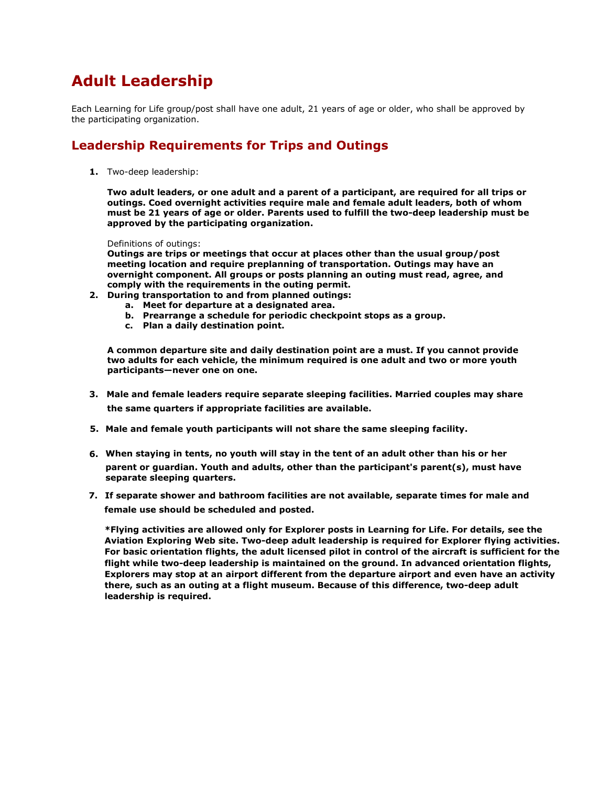# **Adult Leadership**

Each Learning for Life group/post shall have one adult, 21 years of age or older, who shall be approved by the participating organization.

# **Leadership Requirements for Trips and Outings**

**1.** Two-deep leadership:

**Two adult leaders, or one adult and a parent of a participant, are required for all trips or outings. Coed overnight activities require male and female adult leaders, both of whom must be 21 years of age or older. Parents used to fulfill the two-deep leadership must be approved by the participating organization.**

Definitions of outings:

**Outings are trips or meetings that occur at places other than the usual group/post meeting location and require preplanning of transportation. Outings may have an overnight component. All groups or posts planning an outing must read, agree, and comply with the requirements in the outing permit.**

- **2. During transportation to and from planned outings:**
	- **a. Meet for departure at a designated area.**
	- **b. Prearrange a schedule for periodic checkpoint stops as a group.**
	- **c. Plan a daily destination point.**

**A common departure site and daily destination point are a must. If you cannot provide two adults for each vehicle, the minimum required is one adult and two or more youth participants—never one on one.** 

- **3. Male and female leaders require separate sleeping facilities. Married couples may share the same quarters if appropriate facilities are available.**
- **5. Male and female youth participants will not share the same sleeping facility.**
- **6. When staying in tents, no youth will stay in the tent of an adult other than his or her parent or guardian. Youth and adults, other than the participant's parent(s), must have separate sleeping quarters.**
- **7. If separate shower and bathroom facilities are not available, separate times for male and female use should be scheduled and posted.**

**\*Flying activities are allowed only for Explorer posts in Learning for Life. For details, see the Aviation Exploring Web site. Two-deep adult leadership is required for Explorer flying activities. For basic orientation flights, the adult licensed pilot in control of the aircraft is sufficient for the flight while two-deep leadership is maintained on the ground. In advanced orientation flights, Explorers may stop at an airport different from the departure airport and even have an activity there, such as an outing at a flight museum. Because of this difference, two-deep adult leadership is required.**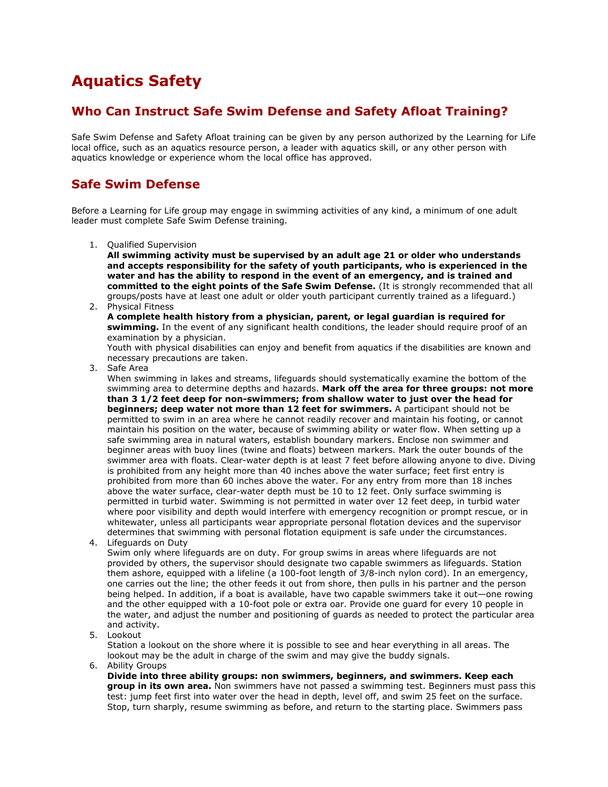# **Aquatics Safety**

# **Who Can Instruct Safe Swim Defense and Safety Afloat Training?**

Safe Swim Defense and Safety Afloat training can be given by any person authorized by the Learning for Life local office, such as an aquatics resource person, a leader with aquatics skill, or any other person with aquatics knowledge or experience whom the local office has approved.

# **Safe Swim Defense**

Before a Learning for Life group may engage in swimming activities of any kind, a minimum of one adult leader must complete Safe Swim Defense training.

1. Qualified Supervision

**All swimming activity must be supervised by an adult age 21 or older who understands and accepts responsibility for the safety of youth participants, who is experienced in the water and has the ability to respond in the event of an emergency, and is trained and committed to the eight points of the Safe Swim Defense.** (It is strongly recommended that all groups/posts have at least one adult or older youth participant currently trained as a lifeguard.)

2. Physical Fitness **A complete health history from a physician, parent, or legal guardian is required for swimming.** In the event of any significant health conditions, the leader should require proof of an examination by a physician.

Youth with physical disabilities can enjoy and benefit from aquatics if the disabilities are known and necessary precautions are taken.

3. Safe Area

When swimming in lakes and streams, lifeguards should systematically examine the bottom of the swimming area to determine depths and hazards. **Mark off the area for three groups: not more than 3 1/2 feet deep for non-swimmers; from shallow water to just over the head for beginners; deep water not more than 12 feet for swimmers.** A participant should not be permitted to swim in an area where he cannot readily recover and maintain his footing, or cannot maintain his position on the water, because of swimming ability or water flow. When setting up a safe swimming area in natural waters, establish boundary markers. Enclose non swimmer and beginner areas with buoy lines (twine and floats) between markers. Mark the outer bounds of the swimmer area with floats. Clear-water depth is at least 7 feet before allowing anyone to dive. Diving is prohibited from any height more than 40 inches above the water surface; feet first entry is prohibited from more than 60 inches above the water. For any entry from more than 18 inches above the water surface, clear-water depth must be 10 to 12 feet. Only surface swimming is permitted in turbid water. Swimming is not permitted in water over 12 feet deep, in turbid water where poor visibility and depth would interfere with emergency recognition or prompt rescue, or in whitewater, unless all participants wear appropriate personal flotation devices and the supervisor determines that swimming with personal flotation equipment is safe under the circumstances.

4. Lifeguards on Duty

Swim only where lifeguards are on duty. For group swims in areas where lifeguards are not provided by others, the supervisor should designate two capable swimmers as lifeguards. Station them ashore, equipped with a lifeline (a 100-foot length of 3/8-inch nylon cord). In an emergency, one carries out the line; the other feeds it out from shore, then pulls in his partner and the person being helped. In addition, if a boat is available, have two capable swimmers take it out—one rowing and the other equipped with a 10-foot pole or extra oar. Provide one guard for every 10 people in the water, and adjust the number and positioning of guards as needed to protect the particular area and activity.

5. Lookout

Station a lookout on the shore where it is possible to see and hear everything in all areas. The lookout may be the adult in charge of the swim and may give the buddy signals.

6. Ability Groups

**Divide into three ability groups: non swimmers, beginners, and swimmers. Keep each group in its own area.** Non swimmers have not passed a swimming test. Beginners must pass this test: jump feet first into water over the head in depth, level off, and swim 25 feet on the surface. Stop, turn sharply, resume swimming as before, and return to the starting place. Swimmers pass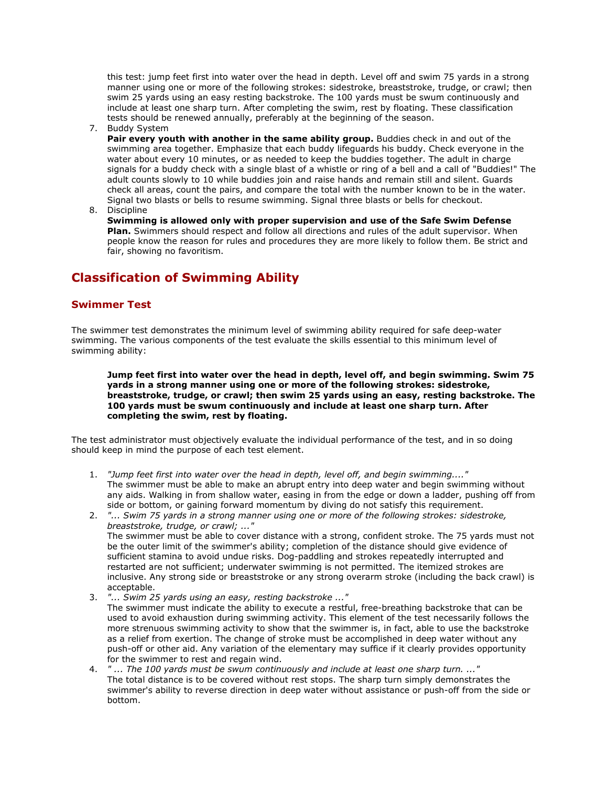this test: jump feet first into water over the head in depth. Level off and swim 75 yards in a strong manner using one or more of the following strokes: sidestroke, breaststroke, trudge, or crawl; then swim 25 yards using an easy resting backstroke. The 100 yards must be swum continuously and include at least one sharp turn. After completing the swim, rest by floating. These classification tests should be renewed annually, preferably at the beginning of the season.

7. Buddy System

**Pair every youth with another in the same ability group.** Buddies check in and out of the swimming area together. Emphasize that each buddy lifeguards his buddy. Check everyone in the water about every 10 minutes, or as needed to keep the buddies together. The adult in charge signals for a buddy check with a single blast of a whistle or ring of a bell and a call of "Buddies!" The adult counts slowly to 10 while buddies join and raise hands and remain still and silent. Guards check all areas, count the pairs, and compare the total with the number known to be in the water. Signal two blasts or bells to resume swimming. Signal three blasts or bells for checkout.

8. Discipline

**Swimming is allowed only with proper supervision and use of the Safe Swim Defense Plan.** Swimmers should respect and follow all directions and rules of the adult supervisor. When people know the reason for rules and procedures they are more likely to follow them. Be strict and fair, showing no favoritism.

# **Classification of Swimming Ability**

### **Swimmer Test**

The swimmer test demonstrates the minimum level of swimming ability required for safe deep-water swimming. The various components of the test evaluate the skills essential to this minimum level of swimming ability:

**Jump feet first into water over the head in depth, level off, and begin swimming. Swim 75 yards in a strong manner using one or more of the following strokes: sidestroke, breaststroke, trudge, or crawl; then swim 25 yards using an easy, resting backstroke. The 100 yards must be swum continuously and include at least one sharp turn. After completing the swim, rest by floating.**

The test administrator must objectively evaluate the individual performance of the test, and in so doing should keep in mind the purpose of each test element.

- 1. *"Jump feet first into water over the head in depth, level off, and begin swimming...."* The swimmer must be able to make an abrupt entry into deep water and begin swimming without any aids. Walking in from shallow water, easing in from the edge or down a ladder, pushing off from side or bottom, or gaining forward momentum by diving do not satisfy this requirement.
- 2. *"... Swim 75 yards in a strong manner using one or more of the following strokes: sidestroke, breaststroke, trudge, or crawl; ..."*  The swimmer must be able to cover distance with a strong, confident stroke. The 75 yards must not be the outer limit of the swimmer's ability; completion of the distance should give evidence of sufficient stamina to avoid undue risks. Dog-paddling and strokes repeatedly interrupted and restarted are not sufficient; underwater swimming is not permitted. The itemized strokes are inclusive. Any strong side or breaststroke or any strong overarm stroke (including the back crawl) is acceptable.
- 3. *"... Swim 25 yards using an easy, resting backstroke ..."* The swimmer must indicate the ability to execute a restful, free-breathing backstroke that can be used to avoid exhaustion during swimming activity. This element of the test necessarily follows the more strenuous swimming activity to show that the swimmer is, in fact, able to use the backstroke as a relief from exertion. The change of stroke must be accomplished in deep water without any push-off or other aid. Any variation of the elementary may suffice if it clearly provides opportunity for the swimmer to rest and regain wind.
- 4. *" ... The 100 yards must be swum continuously and include at least one sharp turn. ..."* The total distance is to be covered without rest stops. The sharp turn simply demonstrates the swimmer's ability to reverse direction in deep water without assistance or push-off from the side or bottom.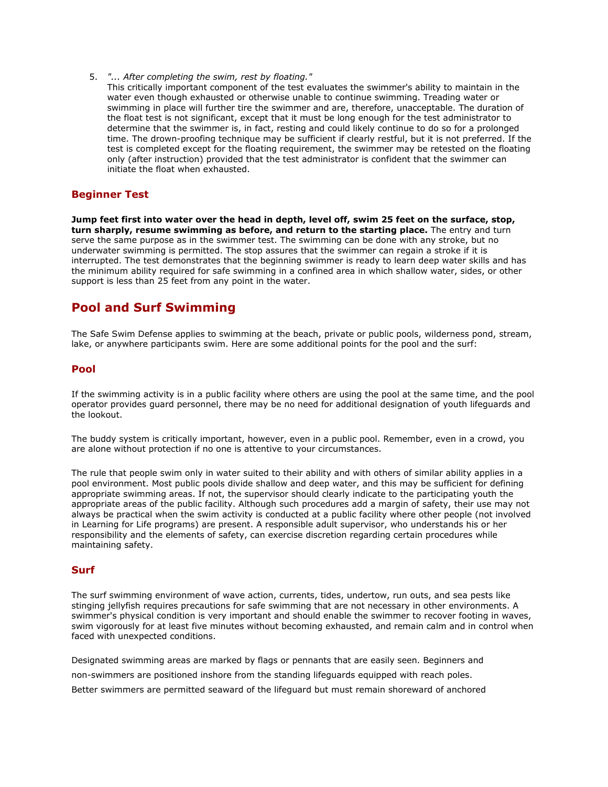5. *"... After completing the swim, rest by floating."*

This critically important component of the test evaluates the swimmer's ability to maintain in the water even though exhausted or otherwise unable to continue swimming. Treading water or swimming in place will further tire the swimmer and are, therefore, unacceptable. The duration of the float test is not significant, except that it must be long enough for the test administrator to determine that the swimmer is, in fact, resting and could likely continue to do so for a prolonged time. The drown-proofing technique may be sufficient if clearly restful, but it is not preferred. If the test is completed except for the floating requirement, the swimmer may be retested on the floating only (after instruction) provided that the test administrator is confident that the swimmer can initiate the float when exhausted.

### **Beginner Test**

**Jump feet first into water over the head in depth, level off, swim 25 feet on the surface, stop, turn sharply, resume swimming as before, and return to the starting place.** The entry and turn serve the same purpose as in the swimmer test. The swimming can be done with any stroke, but no underwater swimming is permitted. The stop assures that the swimmer can regain a stroke if it is interrupted. The test demonstrates that the beginning swimmer is ready to learn deep water skills and has the minimum ability required for safe swimming in a confined area in which shallow water, sides, or other support is less than 25 feet from any point in the water.

## **Pool and Surf Swimming**

The Safe Swim Defense applies to swimming at the beach, private or public pools, wilderness pond, stream, lake, or anywhere participants swim. Here are some additional points for the pool and the surf:

### **Pool**

If the swimming activity is in a public facility where others are using the pool at the same time, and the pool operator provides guard personnel, there may be no need for additional designation of youth lifeguards and the lookout.

The buddy system is critically important, however, even in a public pool. Remember, even in a crowd, you are alone without protection if no one is attentive to your circumstances.

The rule that people swim only in water suited to their ability and with others of similar ability applies in a pool environment. Most public pools divide shallow and deep water, and this may be sufficient for defining appropriate swimming areas. If not, the supervisor should clearly indicate to the participating youth the appropriate areas of the public facility. Although such procedures add a margin of safety, their use may not always be practical when the swim activity is conducted at a public facility where other people (not involved in Learning for Life programs) are present. A responsible adult supervisor, who understands his or her responsibility and the elements of safety, can exercise discretion regarding certain procedures while maintaining safety.

### **Surf**

The surf swimming environment of wave action, currents, tides, undertow, run outs, and sea pests like stinging jellyfish requires precautions for safe swimming that are not necessary in other environments. A swimmer's physical condition is very important and should enable the swimmer to recover footing in waves, swim vigorously for at least five minutes without becoming exhausted, and remain calm and in control when faced with unexpected conditions.

Designated swimming areas are marked by flags or pennants that are easily seen. Beginners and non-swimmers are positioned inshore from the standing lifeguards equipped with reach poles. Better swimmers are permitted seaward of the lifeguard but must remain shoreward of anchored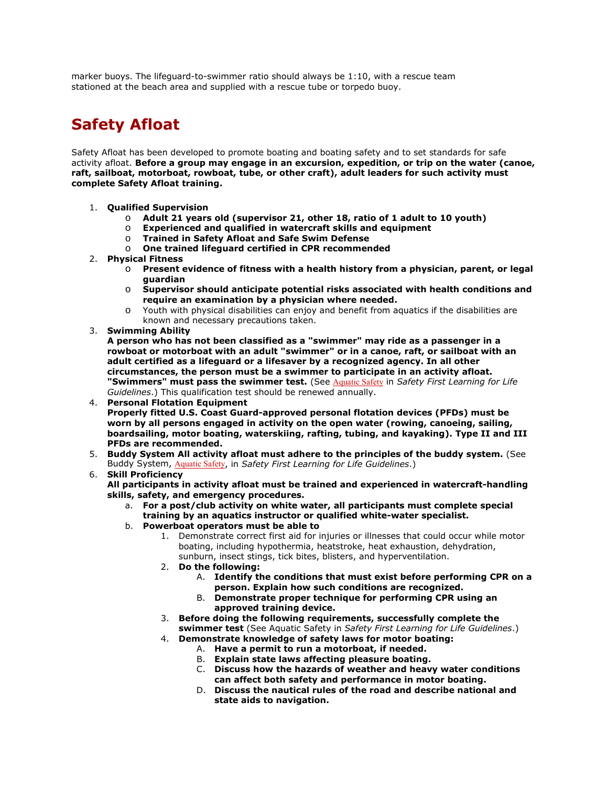marker buoys. The lifeguard-to-swimmer ratio should always be 1:10, with a rescue team stationed at the beach area and supplied with a rescue tube or torpedo buoy.

# **Safety Afloat**

Safety Afloat has been developed to promote boating and boating safety and to set standards for safe activity afloat. **Before a group may engage in an excursion, expedition, or trip on the water (canoe, raft, sailboat, motorboat, rowboat, tube, or other craft), adult leaders for such activity must complete Safety Afloat training.**

- 1. **Qualified Supervision**
	- o **Adult 21 years old (supervisor 21, other 18, ratio of 1 adult to 10 youth)**
	- o **Experienced and qualified in watercraft skills and equipment**
	- o **Trained in Safety Afloat and Safe Swim Defense**
	- o **One trained lifeguard certified in CPR recommended**
- 2. **Physical Fitness**
	- o **Present evidence of fitness with a health history from a physician, parent, or legal guardian**
	- o **Supervisor should anticipate potential risks associated with health conditions and require an examination by a physician where needed.**
	- o Youth with physical disabilities can enjoy and benefit from aquatics if the disabilities are known and necessary precautions taken.
- 3. **Swimming Ability**

**A person who has not been classified as a "swimmer" may ride as a passenger in a rowboat or motorboat with an adult "swimmer" or in a canoe, raft, or sailboat with an adult certified as a lifeguard or a lifesaver by a recognized agency. In all other circumstances, the person must be a swimmer to participate in an activity afloat.** "Swimmers" must pass the swimmer test. (See [Aquatic Safety](http://exploring.learningforlife.org/lfl/resources/guidesafe/03.html) in Safety First Learning for Life *Guidelines*.) This qualification test should be renewed annually.

- 4. **Personal Flotation Equipment Properly fitted U.S. Coast Guard-approved personal flotation devices (PFDs) must be worn by all persons engaged in activity on the open water (rowing, canoeing, sailing, boardsailing, motor boating, waterskiing, rafting, tubing, and kayaking). Type II and III PFDs are recommended.**
- 5. **Buddy System All activity afloat must adhere to the principles of the buddy system.** (See Buddy System, [Aquatic Safety](http://exploring.learningforlife.org/lfl/resources/guidesafe/03.html), in *Safety First Learning for Life Guidelines*.)

#### 6. **Skill Proficiency**

**All participants in activity afloat must be trained and experienced in watercraft-handling skills, safety, and emergency procedures.**

- a. **For a post/club activity on white water, all participants must complete special training by an aquatics instructor or qualified white-water specialist.**
- b. **Powerboat operators must be able to**
	- 1. Demonstrate correct first aid for injuries or illnesses that could occur while motor boating, including hypothermia, heatstroke, heat exhaustion, dehydration, sunburn, insect stings, tick bites, blisters, and hyperventilation.
	- 2. **Do the following:**
		- A. **Identify the conditions that must exist before performing CPR on a person. Explain how such conditions are recognized.**
		- B. **Demonstrate proper technique for performing CPR using an approved training device.**
	- 3. **Before doing the following requirements, successfully complete the swimmer test** (See Aquatic Safety in *Safety First Learning for Life Guidelines*.)
	- 4. **Demonstrate knowledge of safety laws for motor boating:**
		- A. **Have a permit to run a motorboat, if needed.**
		- B. **Explain state laws affecting pleasure boating.**
		- C. **Discuss how the hazards of weather and heavy water conditions can affect both safety and performance in motor boating.**
		- D. **Discuss the nautical rules of the road and describe national and state aids to navigation.**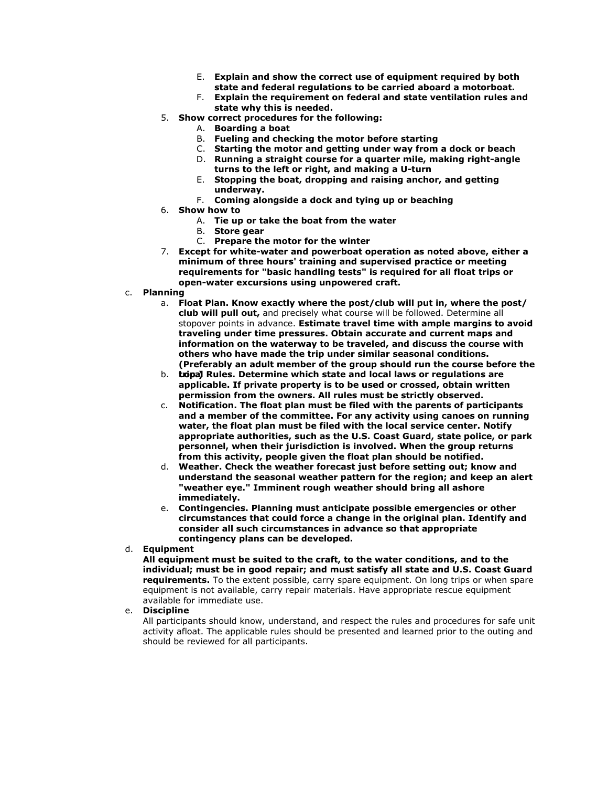- E. **Explain and show the correct use of equipment required by both state and federal regulations to be carried aboard a motorboat.**
- F. **Explain the requirement on federal and state ventilation rules and state why this is needed.**
- 5. **Show correct procedures for the following:**
	- A. **Boarding a boat**
		- B. **Fueling and checking the motor before starting**
		- C. **Starting the motor and getting under way from a dock or beach**
	- D. **Running a straight course for a quarter mile, making right-angle turns to the left or right, and making a U-turn**
	- E. **Stopping the boat, dropping and raising anchor, and getting underway.**
	- F. **Coming alongside a dock and tying up or beaching**
- 6. **Show how to**
	- A. **Tie up or take the boat from the water**
	- B. **Store gear**
	- C. **Prepare the motor for the winter**
- 7. **Except for white-water and powerboat operation as noted above, either a minimum of three hours' training and supervised practice or meeting requirements for "basic handling tests" is required for all float trips or open-water excursions using unpowered craft.**
- c. **Planning**
	- a. **Float Plan. Know exactly where the post/club will put in, where the post/ club will pull out,** and precisely what course will be followed. Determine all stopover points in advance. **Estimate travel time with ample margins to avoid traveling under time pressures. Obtain accurate and current maps and information on the waterway to be traveled, and discuss the course with others who have made the trip under similar seasonal conditions. (Preferably an adult member of the group should run the course before the**
	- b. **Loca trip.)l Rules. Determine which state and local laws or regulations are applicable. If private property is to be used or crossed, obtain written permission from the owners. All rules must be strictly observed.**
	- c. **Notification. The float plan must be filed with the parents of participants and a member of the committee. For any activity using canoes on running water, the float plan must be filed with the local service center. Notify appropriate authorities, such as the U.S. Coast Guard, state police, or park personnel, when their jurisdiction is involved. When the group returns from this activity, people given the float plan should be notified.**
	- d. **Weather. Check the weather forecast just before setting out; know and understand the seasonal weather pattern for the region; and keep an alert "weather eye." Imminent rough weather should bring all ashore immediately.**
	- e. **Contingencies. Planning must anticipate possible emergencies or other circumstances that could force a change in the original plan. Identify and consider all such circumstances in advance so that appropriate contingency plans can be developed.**
- d. **Equipment**

**All equipment must be suited to the craft, to the water conditions, and to the individual; must be in good repair; and must satisfy all state and U.S. Coast Guard requirements.** To the extent possible, carry spare equipment. On long trips or when spare equipment is not available, carry repair materials. Have appropriate rescue equipment available for immediate use.

#### e. **Discipline**

All participants should know, understand, and respect the rules and procedures for safe unit activity afloat. The applicable rules should be presented and learned prior to the outing and should be reviewed for all participants.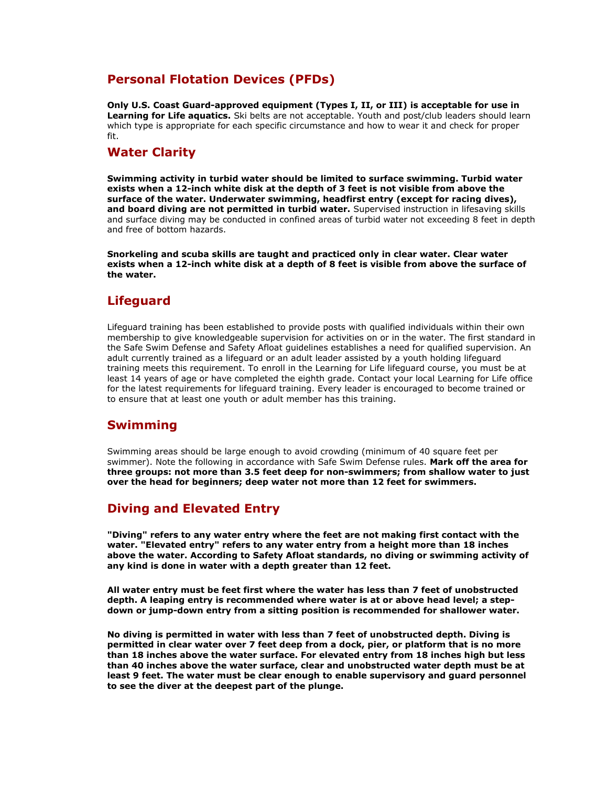## **Personal Flotation Devices (PFDs)**

**Only U.S. Coast Guard-approved equipment (Types I, II, or III) is acceptable for use in**  Learning for Life aquatics. Ski belts are not acceptable. Youth and post/club leaders should learn which type is appropriate for each specific circumstance and how to wear it and check for proper fit.

## **Water Clarity**

**Swimming activity in turbid water should be limited to surface swimming. Turbid water exists when a 12-inch white disk at the depth of 3 feet is not visible from above the surface of the water. Underwater swimming, headfirst entry (except for racing dives), and board diving are not permitted in turbid water.** Supervised instruction in lifesaving skills and surface diving may be conducted in confined areas of turbid water not exceeding 8 feet in depth and free of bottom hazards.

**Snorkeling and scuba skills are taught and practiced only in clear water. Clear water exists when a 12-inch white disk at a depth of 8 feet is visible from above the surface of the water.**

### **Lifeguard**

Lifeguard training has been established to provide posts with qualified individuals within their own membership to give knowledgeable supervision for activities on or in the water. The first standard in the Safe Swim Defense and Safety Afloat guidelines establishes a need for qualified supervision. An adult currently trained as a lifeguard or an adult leader assisted by a youth holding lifeguard training meets this requirement. To enroll in the Learning for Life lifeguard course, you must be at least 14 years of age or have completed the eighth grade. Contact your local Learning for Life office for the latest requirements for lifeguard training. Every leader is encouraged to become trained or to ensure that at least one youth or adult member has this training.

# **Swimming**

Swimming areas should be large enough to avoid crowding (minimum of 40 square feet per swimmer). Note the following in accordance with Safe Swim Defense rules. **Mark off the area for three groups: not more than 3.5 feet deep for non-swimmers; from shallow water to just over the head for beginners; deep water not more than 12 feet for swimmers.**

### **Diving and Elevated Entry**

**"Diving" refers to any water entry where the feet are not making first contact with the water. "Elevated entry" refers to any water entry from a height more than 18 inches above the water. According to Safety Afloat standards, no diving or swimming activity of any kind is done in water with a depth greater than 12 feet.**

**All water entry must be feet first where the water has less than 7 feet of unobstructed depth. A leaping entry is recommended where water is at or above head level; a stepdown or jump-down entry from a sitting position is recommended for shallower water.**

**No diving is permitted in water with less than 7 feet of unobstructed depth. Diving is permitted in clear water over 7 feet deep from a dock, pier, or platform that is no more than 18 inches above the water surface. For elevated entry from 18 inches high but less than 40 inches above the water surface, clear and unobstructed water depth must be at least 9 feet. The water must be clear enough to enable supervisory and guard personnel to see the diver at the deepest part of the plunge.**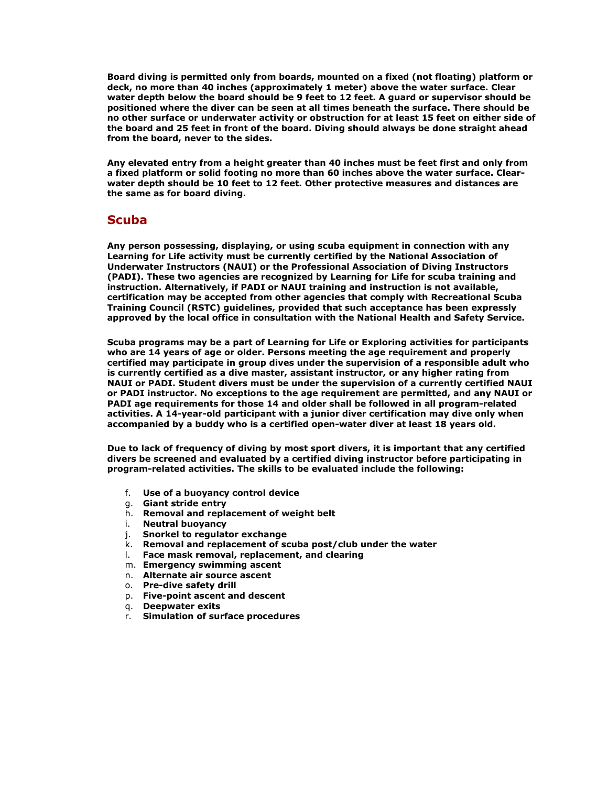**Board diving is permitted only from boards, mounted on a fixed (not floating) platform or deck, no more than 40 inches (approximately 1 meter) above the water surface. Clear water depth below the board should be 9 feet to 12 feet. A guard or supervisor should be positioned where the diver can be seen at all times beneath the surface. There should be no other surface or underwater activity or obstruction for at least 15 feet on either side of the board and 25 feet in front of the board. Diving should always be done straight ahead from the board, never to the sides.**

**Any elevated entry from a height greater than 40 inches must be feet first and only from a fixed platform or solid footing no more than 60 inches above the water surface. Clearwater depth should be 10 feet to 12 feet. Other protective measures and distances are the same as for board diving.**

### **Scuba**

**Any person possessing, displaying, or using scuba equipment in connection with any Learning for Life activity must be currently certified by the National Association of Underwater Instructors (NAUI) or the Professional Association of Diving Instructors (PADI). These two agencies are recognized by Learning for Life for scuba training and instruction. Alternatively, if PADI or NAUI training and instruction is not available, certification may be accepted from other agencies that comply with Recreational Scuba Training Council (RSTC) guidelines, provided that such acceptance has been expressly approved by the local office in consultation with the National Health and Safety Service.**

**Scuba programs may be a part of Learning for Life or Exploring activities for participants who are 14 years of age or older. Persons meeting the age requirement and properly certified may participate in group dives under the supervision of a responsible adult who is currently certified as a dive master, assistant instructor, or any higher rating from NAUI or PADI. Student divers must be under the supervision of a currently certified NAUI or PADI instructor. No exceptions to the age requirement are permitted, and any NAUI or PADI age requirements for those 14 and older shall be followed in all program-related activities. A 14-year-old participant with a junior diver certification may dive only when accompanied by a buddy who is a certified open-water diver at least 18 years old.**

**Due to lack of frequency of diving by most sport divers, it is important that any certified divers be screened and evaluated by a certified diving instructor before participating in program-related activities. The skills to be evaluated include the following:**

- f. **Use of a buoyancy control device**
- g. **Giant stride entry**
- h. **Removal and replacement of weight belt**
- i. **Neutral buoyancy**
- j. **Snorkel to regulator exchange**
- k. **Removal and replacement of scuba post/club under the water**
- Face mask removal, replacement, and clearing
- m. **Emergency swimming ascent**
- n. **Alternate air source ascent**
- o. **Pre-dive safety drill**
- p. **Five-point ascent and descent**
- q. **Deepwater exits**
- r. **Simulation of surface procedures**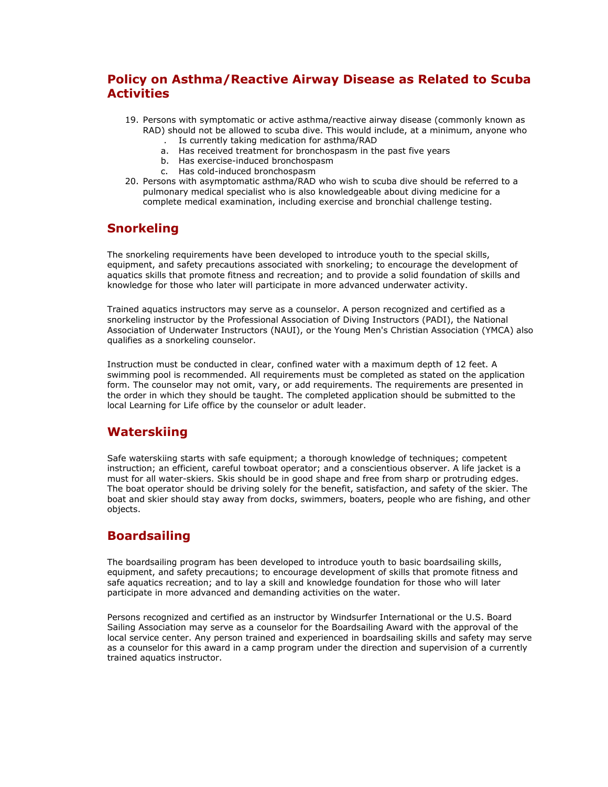# **Policy on Asthma/Reactive Airway Disease as Related to Scuba Activities**

- 19. Persons with symptomatic or active asthma/reactive airway disease (commonly known as RAD) should not be allowed to scuba dive. This would include, at a minimum, anyone who
	- . Is currently taking medication for asthma/RAD a. Has received treatment for bronchospasm in the past five years
	- b. Has exercise-induced bronchospasm
	-
	- c. Has cold-induced bronchospasm
- 20. Persons with asymptomatic asthma/RAD who wish to scuba dive should be referred to a pulmonary medical specialist who is also knowledgeable about diving medicine for a complete medical examination, including exercise and bronchial challenge testing.

## **Snorkeling**

The snorkeling requirements have been developed to introduce youth to the special skills, equipment, and safety precautions associated with snorkeling; to encourage the development of aquatics skills that promote fitness and recreation; and to provide a solid foundation of skills and knowledge for those who later will participate in more advanced underwater activity.

Trained aquatics instructors may serve as a counselor. A person recognized and certified as a snorkeling instructor by the Professional Association of Diving Instructors (PADI), the National Association of Underwater Instructors (NAUI), or the Young Men's Christian Association (YMCA) also qualifies as a snorkeling counselor.

Instruction must be conducted in clear, confined water with a maximum depth of 12 feet. A swimming pool is recommended. All requirements must be completed as stated on the application form. The counselor may not omit, vary, or add requirements. The requirements are presented in the order in which they should be taught. The completed application should be submitted to the local Learning for Life office by the counselor or adult leader.

### **Waterskiing**

Safe waterskiing starts with safe equipment; a thorough knowledge of techniques; competent instruction; an efficient, careful towboat operator; and a conscientious observer. A life jacket is a must for all water-skiers. Skis should be in good shape and free from sharp or protruding edges. The boat operator should be driving solely for the benefit, satisfaction, and safety of the skier. The boat and skier should stay away from docks, swimmers, boaters, people who are fishing, and other objects.

# **Boardsailing**

The boardsailing program has been developed to introduce youth to basic boardsailing skills, equipment, and safety precautions; to encourage development of skills that promote fitness and safe aquatics recreation; and to lay a skill and knowledge foundation for those who will later participate in more advanced and demanding activities on the water.

Persons recognized and certified as an instructor by Windsurfer International or the U.S. Board Sailing Association may serve as a counselor for the Boardsailing Award with the approval of the local service center. Any person trained and experienced in boardsailing skills and safety may serve as a counselor for this award in a camp program under the direction and supervision of a currently trained aquatics instructor.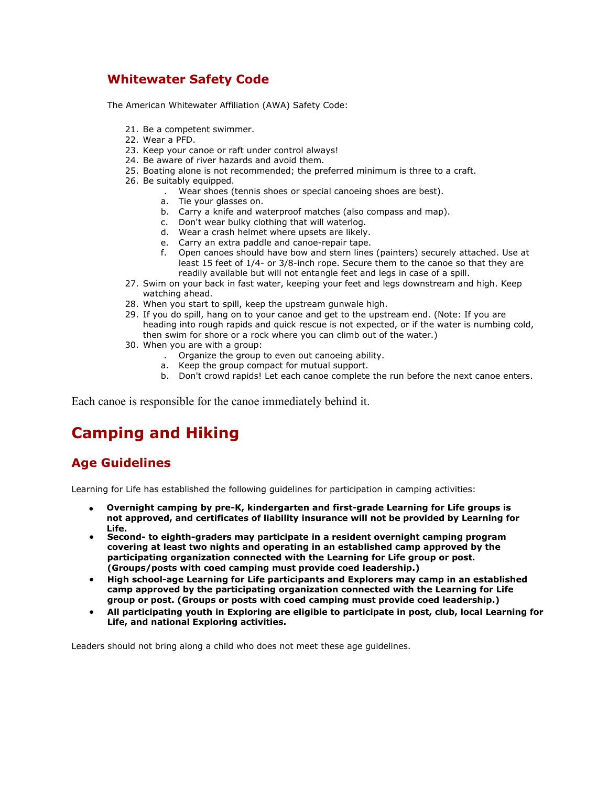# **Whitewater Safety Code**

The American Whitewater Affiliation (AWA) Safety Code:

- 21. Be a competent swimmer.
- 22. Wear a PFD.
- 23. Keep your canoe or raft under control always!
- 24. Be aware of river hazards and avoid them.
- 25. Boating alone is not recommended; the preferred minimum is three to a craft.
- 26. Be suitably equipped.
	- . Wear shoes (tennis shoes or special canoeing shoes are best).
	- a. Tie your glasses on.
	- b. Carry a knife and waterproof matches (also compass and map).
	- c. Don't wear bulky clothing that will waterlog.
	- d. Wear a crash helmet where upsets are likely.
	- e. Carry an extra paddle and canoe-repair tape.
	- f. Open canoes should have bow and stern lines (painters) securely attached. Use at least 15 feet of 1/4- or 3/8-inch rope. Secure them to the canoe so that they are readily available but will not entangle feet and legs in case of a spill.
- 27. Swim on your back in fast water, keeping your feet and legs downstream and high. Keep watching ahead.
- 28. When you start to spill, keep the upstream gunwale high.
- 29. If you do spill, hang on to your canoe and get to the upstream end. (Note: If you are heading into rough rapids and quick rescue is not expected, or if the water is numbing cold, then swim for shore or a rock where you can climb out of the water.)
- 30. When you are with a group:
	- . Organize the group to even out canoeing ability.
	- a. Keep the group compact for mutual support.
	- b. Don't crowd rapids! Let each canoe complete the run before the next canoe enters.

Each canoe is responsible for the canoe immediately behind it.

# **Camping and Hiking**

# **Age Guidelines**

Learning for Life has established the following guidelines for participation in camping activities:

- **Overnight camping by pre-K, kindergarten and first-grade Learning for Life groups is not approved, and certificates of liability insurance will not be provided by Learning for Life.**
- **Second- to eighth-graders may participate in a resident overnight camping program covering at least two nights and operating in an established camp approved by the participating organization connected with the Learning for Life group or post. (Groups/posts with coed camping must provide coed leadership.)**
- **High school-age Learning for Life participants and Explorers may camp in an established camp approved by the participating organization connected with the Learning for Life group or post. (Groups or posts with coed camping must provide coed leadership.)**
- **All participating youth in Exploring are eligible to participate in post, club, local Learning for Life, and national Exploring activities.**

Leaders should not bring along a child who does not meet these age guidelines.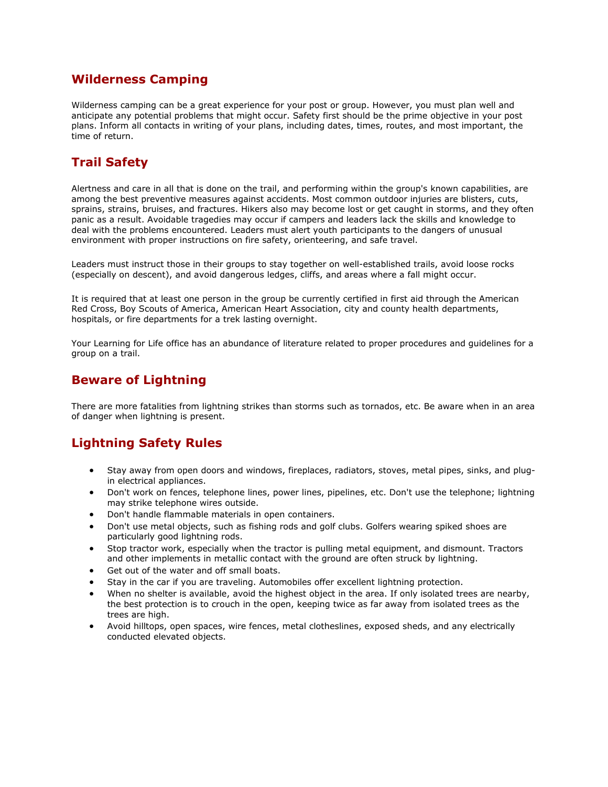## **Wilderness Camping**

Wilderness camping can be a great experience for your post or group. However, you must plan well and anticipate any potential problems that might occur. Safety first should be the prime objective in your post plans. Inform all contacts in writing of your plans, including dates, times, routes, and most important, the time of return.

# **Trail Safety**

Alertness and care in all that is done on the trail, and performing within the group's known capabilities, are among the best preventive measures against accidents. Most common outdoor injuries are blisters, cuts, sprains, strains, bruises, and fractures. Hikers also may become lost or get caught in storms, and they often panic as a result. Avoidable tragedies may occur if campers and leaders lack the skills and knowledge to deal with the problems encountered. Leaders must alert youth participants to the dangers of unusual environment with proper instructions on fire safety, orienteering, and safe travel.

Leaders must instruct those in their groups to stay together on well-established trails, avoid loose rocks (especially on descent), and avoid dangerous ledges, cliffs, and areas where a fall might occur.

It is required that at least one person in the group be currently certified in first aid through the American Red Cross, Boy Scouts of America, American Heart Association, city and county health departments, hospitals, or fire departments for a trek lasting overnight.

Your Learning for Life office has an abundance of literature related to proper procedures and guidelines for a group on a trail.

## **Beware of Lightning**

There are more fatalities from lightning strikes than storms such as tornados, etc. Be aware when in an area of danger when lightning is present.

# **Lightning Safety Rules**

- Stay away from open doors and windows, fireplaces, radiators, stoves, metal pipes, sinks, and plugin electrical appliances.
- Don't work on fences, telephone lines, power lines, pipelines, etc. Don't use the telephone; lightning may strike telephone wires outside.
- Don't handle flammable materials in open containers.
- Don't use metal objects, such as fishing rods and golf clubs. Golfers wearing spiked shoes are particularly good lightning rods.
- Stop tractor work, especially when the tractor is pulling metal equipment, and dismount. Tractors and other implements in metallic contact with the ground are often struck by lightning.
- Get out of the water and off small boats.
- Stay in the car if you are traveling. Automobiles offer excellent lightning protection.
- When no shelter is available, avoid the highest object in the area. If only isolated trees are nearby, the best protection is to crouch in the open, keeping twice as far away from isolated trees as the trees are high.
- Avoid hilltops, open spaces, wire fences, metal clotheslines, exposed sheds, and any electrically conducted elevated objects.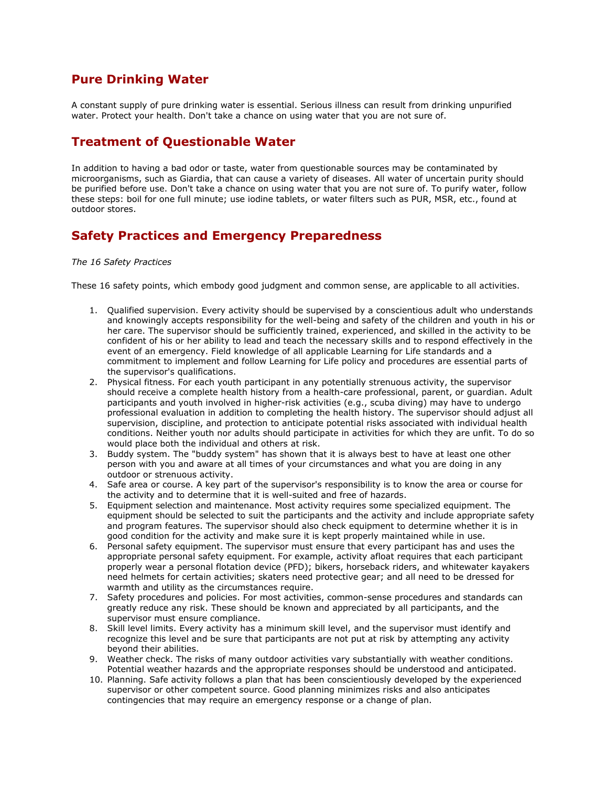## **Pure Drinking Water**

A constant supply of pure drinking water is essential. Serious illness can result from drinking unpurified water. Protect your health. Don't take a chance on using water that you are not sure of.

## **Treatment of Questionable Water**

In addition to having a bad odor or taste, water from questionable sources may be contaminated by microorganisms, such as Giardia, that can cause a variety of diseases. All water of uncertain purity should be purified before use. Don't take a chance on using water that you are not sure of. To purify water, follow these steps: boil for one full minute; use iodine tablets, or water filters such as PUR, MSR, etc., found at outdoor stores.

### **Safety Practices and Emergency Preparedness**

#### *The 16 Safety Practices*

These 16 safety points, which embody good judgment and common sense, are applicable to all activities.

- 1. Qualified supervision. Every activity should be supervised by a conscientious adult who understands and knowingly accepts responsibility for the well-being and safety of the children and youth in his or her care. The supervisor should be sufficiently trained, experienced, and skilled in the activity to be confident of his or her ability to lead and teach the necessary skills and to respond effectively in the event of an emergency. Field knowledge of all applicable Learning for Life standards and a commitment to implement and follow Learning for Life policy and procedures are essential parts of the supervisor's qualifications.
- 2. Physical fitness. For each youth participant in any potentially strenuous activity, the supervisor should receive a complete health history from a health-care professional, parent, or guardian. Adult participants and youth involved in higher-risk activities (e.g., scuba diving) may have to undergo professional evaluation in addition to completing the health history. The supervisor should adjust all supervision, discipline, and protection to anticipate potential risks associated with individual health conditions. Neither youth nor adults should participate in activities for which they are unfit. To do so would place both the individual and others at risk.
- 3. Buddy system. The "buddy system" has shown that it is always best to have at least one other person with you and aware at all times of your circumstances and what you are doing in any outdoor or strenuous activity.
- 4. Safe area or course. A key part of the supervisor's responsibility is to know the area or course for the activity and to determine that it is well-suited and free of hazards.
- 5. Equipment selection and maintenance. Most activity requires some specialized equipment. The equipment should be selected to suit the participants and the activity and include appropriate safety and program features. The supervisor should also check equipment to determine whether it is in good condition for the activity and make sure it is kept properly maintained while in use.
- 6. Personal safety equipment. The supervisor must ensure that every participant has and uses the appropriate personal safety equipment. For example, activity afloat requires that each participant properly wear a personal flotation device (PFD); bikers, horseback riders, and whitewater kayakers need helmets for certain activities; skaters need protective gear; and all need to be dressed for warmth and utility as the circumstances require.
- 7. Safety procedures and policies. For most activities, common-sense procedures and standards can greatly reduce any risk. These should be known and appreciated by all participants, and the supervisor must ensure compliance.
- 8. Skill level limits. Every activity has a minimum skill level, and the supervisor must identify and recognize this level and be sure that participants are not put at risk by attempting any activity beyond their abilities.
- 9. Weather check. The risks of many outdoor activities vary substantially with weather conditions. Potential weather hazards and the appropriate responses should be understood and anticipated.
- 10. Planning. Safe activity follows a plan that has been conscientiously developed by the experienced supervisor or other competent source. Good planning minimizes risks and also anticipates contingencies that may require an emergency response or a change of plan.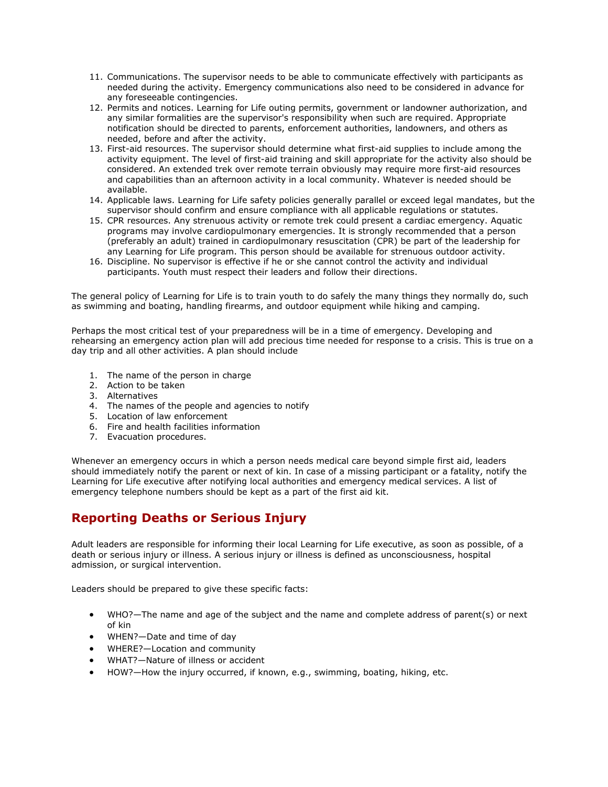- 11. Communications. The supervisor needs to be able to communicate effectively with participants as needed during the activity. Emergency communications also need to be considered in advance for any foreseeable contingencies.
- 12. Permits and notices. Learning for Life outing permits, government or landowner authorization, and any similar formalities are the supervisor's responsibility when such are required. Appropriate notification should be directed to parents, enforcement authorities, landowners, and others as needed, before and after the activity.
- 13. First-aid resources. The supervisor should determine what first-aid supplies to include among the activity equipment. The level of first-aid training and skill appropriate for the activity also should be considered. An extended trek over remote terrain obviously may require more first-aid resources and capabilities than an afternoon activity in a local community. Whatever is needed should be available.
- 14. Applicable laws. Learning for Life safety policies generally parallel or exceed legal mandates, but the supervisor should confirm and ensure compliance with all applicable regulations or statutes.
- 15. CPR resources. Any strenuous activity or remote trek could present a cardiac emergency. Aquatic programs may involve cardiopulmonary emergencies. It is strongly recommended that a person (preferably an adult) trained in cardiopulmonary resuscitation (CPR) be part of the leadership for any Learning for Life program. This person should be available for strenuous outdoor activity.
- 16. Discipline. No supervisor is effective if he or she cannot control the activity and individual participants. Youth must respect their leaders and follow their directions.

The general policy of Learning for Life is to train youth to do safely the many things they normally do, such as swimming and boating, handling firearms, and outdoor equipment while hiking and camping.

Perhaps the most critical test of your preparedness will be in a time of emergency. Developing and rehearsing an emergency action plan will add precious time needed for response to a crisis. This is true on a day trip and all other activities. A plan should include

- 1. The name of the person in charge
- 2. Action to be taken
- 3. Alternatives
- 4. The names of the people and agencies to notify
- 5. Location of law enforcement
- 6. Fire and health facilities information
- 7. Evacuation procedures.

Whenever an emergency occurs in which a person needs medical care beyond simple first aid, leaders should immediately notify the parent or next of kin. In case of a missing participant or a fatality, notify the Learning for Life executive after notifying local authorities and emergency medical services. A list of emergency telephone numbers should be kept as a part of the first aid kit.

# **Reporting Deaths or Serious Injury**

Adult leaders are responsible for informing their local Learning for Life executive, as soon as possible, of a death or serious injury or illness. A serious injury or illness is defined as unconsciousness, hospital admission, or surgical intervention.

Leaders should be prepared to give these specific facts:

- WHO?—The name and age of the subject and the name and complete address of parent(s) or next of kin
- WHEN?—Date and time of day
- WHERE?—Location and community
- WHAT?—Nature of illness or accident
- HOW?—How the injury occurred, if known, e.g., swimming, boating, hiking, etc.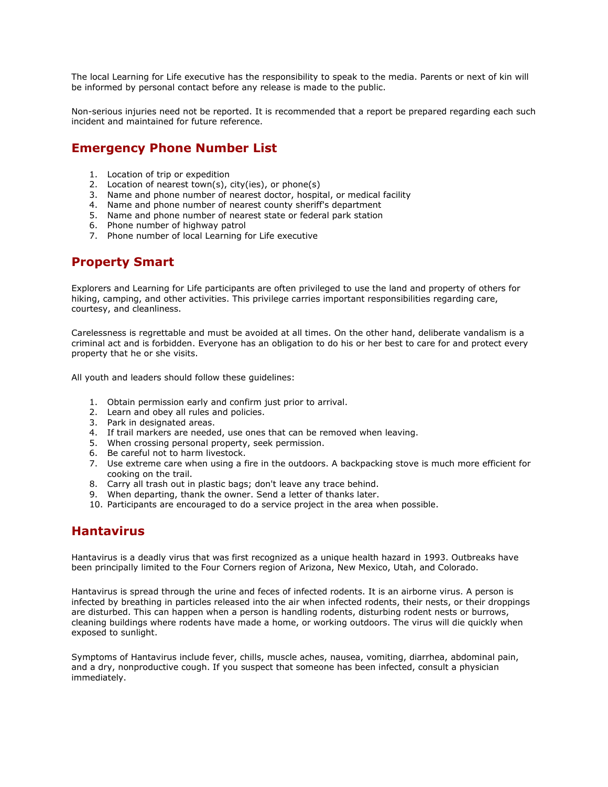The local Learning for Life executive has the responsibility to speak to the media. Parents or next of kin will be informed by personal contact before any release is made to the public.

Non-serious injuries need not be reported. It is recommended that a report be prepared regarding each such incident and maintained for future reference.

## **Emergency Phone Number List**

- 1. Location of trip or expedition
- 2. Location of nearest town(s), city(ies), or phone(s)
- 3. Name and phone number of nearest doctor, hospital, or medical facility
- 4. Name and phone number of nearest county sheriff's department
- 5. Name and phone number of nearest state or federal park station
- 6. Phone number of highway patrol
- 7. Phone number of local Learning for Life executive

## **Property Smart**

Explorers and Learning for Life participants are often privileged to use the land and property of others for hiking, camping, and other activities. This privilege carries important responsibilities regarding care, courtesy, and cleanliness.

Carelessness is regrettable and must be avoided at all times. On the other hand, deliberate vandalism is a criminal act and is forbidden. Everyone has an obligation to do his or her best to care for and protect every property that he or she visits.

All youth and leaders should follow these guidelines:

- 1. Obtain permission early and confirm just prior to arrival.
- 2. Learn and obey all rules and policies.
- 3. Park in designated areas.
- 4. If trail markers are needed, use ones that can be removed when leaving.
- 5. When crossing personal property, seek permission.
- 6. Be careful not to harm livestock.
- 7. Use extreme care when using a fire in the outdoors. A backpacking stove is much more efficient for cooking on the trail.
- 8. Carry all trash out in plastic bags; don't leave any trace behind.
- 9. When departing, thank the owner. Send a letter of thanks later.
- 10. Participants are encouraged to do a service project in the area when possible.

### **Hantavirus**

Hantavirus is a deadly virus that was first recognized as a unique health hazard in 1993. Outbreaks have been principally limited to the Four Corners region of Arizona, New Mexico, Utah, and Colorado.

Hantavirus is spread through the urine and feces of infected rodents. It is an airborne virus. A person is infected by breathing in particles released into the air when infected rodents, their nests, or their droppings are disturbed. This can happen when a person is handling rodents, disturbing rodent nests or burrows, cleaning buildings where rodents have made a home, or working outdoors. The virus will die quickly when exposed to sunlight.

Symptoms of Hantavirus include fever, chills, muscle aches, nausea, vomiting, diarrhea, abdominal pain, and a dry, nonproductive cough. If you suspect that someone has been infected, consult a physician immediately.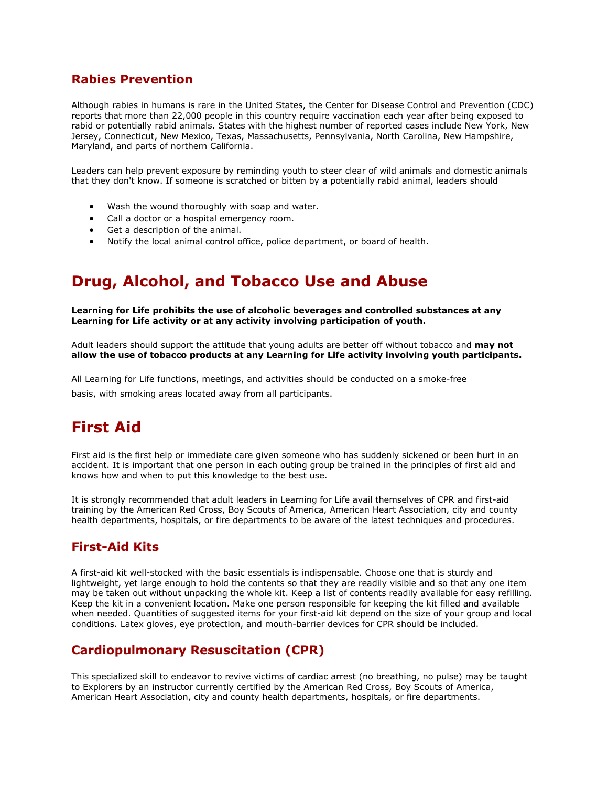# **Rabies Prevention**

Although rabies in humans is rare in the United States, the Center for Disease Control and Prevention (CDC) reports that more than 22,000 people in this country require vaccination each year after being exposed to rabid or potentially rabid animals. States with the highest number of reported cases include New York, New Jersey, Connecticut, New Mexico, Texas, Massachusetts, Pennsylvania, North Carolina, New Hampshire, Maryland, and parts of northern California.

Leaders can help prevent exposure by reminding youth to steer clear of wild animals and domestic animals that they don't know. If someone is scratched or bitten by a potentially rabid animal, leaders should

- Wash the wound thoroughly with soap and water.
- Call a doctor or a hospital emergency room.
- Get a description of the animal.
- Notify the local animal control office, police department, or board of health.

# **Drug, Alcohol, and Tobacco Use and Abuse**

**Learning for Life prohibits the use of alcoholic beverages and controlled substances at any Learning for Life activity or at any activity involving participation of youth.**

Adult leaders should support the attitude that young adults are better off without tobacco and **may not allow the use of tobacco products at any Learning for Life activity involving youth participants.**

All Learning for Life functions, meetings, and activities should be conducted on a smoke-free basis, with smoking areas located away from all participants.

# **First Aid**

First aid is the first help or immediate care given someone who has suddenly sickened or been hurt in an accident. It is important that one person in each outing group be trained in the principles of first aid and knows how and when to put this knowledge to the best use.

It is strongly recommended that adult leaders in Learning for Life avail themselves of CPR and first-aid training by the American Red Cross, Boy Scouts of America, American Heart Association, city and county health departments, hospitals, or fire departments to be aware of the latest techniques and procedures.

### **First-Aid Kits**

A first-aid kit well-stocked with the basic essentials is indispensable. Choose one that is sturdy and lightweight, yet large enough to hold the contents so that they are readily visible and so that any one item may be taken out without unpacking the whole kit. Keep a list of contents readily available for easy refilling. Keep the kit in a convenient location. Make one person responsible for keeping the kit filled and available when needed. Quantities of suggested items for your first-aid kit depend on the size of your group and local conditions. Latex gloves, eye protection, and mouth-barrier devices for CPR should be included.

# **Cardiopulmonary Resuscitation (CPR)**

This specialized skill to endeavor to revive victims of cardiac arrest (no breathing, no pulse) may be taught to Explorers by an instructor currently certified by the American Red Cross, Boy Scouts of America, American Heart Association, city and county health departments, hospitals, or fire departments.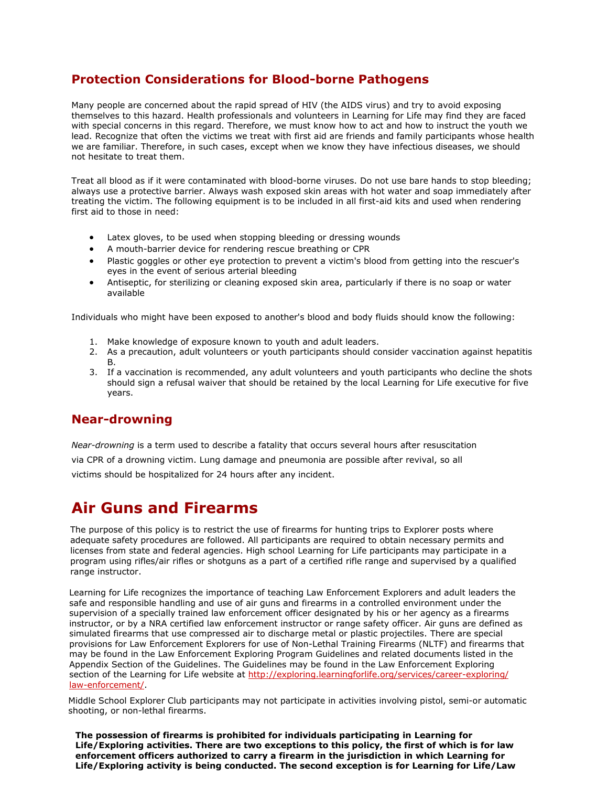# **Protection Considerations for Blood-borne Pathogens**

Many people are concerned about the rapid spread of HIV (the AIDS virus) and try to avoid exposing themselves to this hazard. Health professionals and volunteers in Learning for Life may find they are faced with special concerns in this regard. Therefore, we must know how to act and how to instruct the youth we lead. Recognize that often the victims we treat with first aid are friends and family participants whose health we are familiar. Therefore, in such cases, except when we know they have infectious diseases, we should not hesitate to treat them.

Treat all blood as if it were contaminated with blood-borne viruses. Do not use bare hands to stop bleeding; always use a protective barrier. Always wash exposed skin areas with hot water and soap immediately after treating the victim. The following equipment is to be included in all first-aid kits and used when rendering first aid to those in need:

- Latex gloves, to be used when stopping bleeding or dressing wounds
- A mouth-barrier device for rendering rescue breathing or CPR
- Plastic goggles or other eye protection to prevent a victim's blood from getting into the rescuer's eyes in the event of serious arterial bleeding
- Antiseptic, for sterilizing or cleaning exposed skin area, particularly if there is no soap or water available

Individuals who might have been exposed to another's blood and body fluids should know the following:

- 1. Make knowledge of exposure known to youth and adult leaders.
- 2. As a precaution, adult volunteers or youth participants should consider vaccination against hepatitis B.
- 3. If a vaccination is recommended, any adult volunteers and youth participants who decline the shots should sign a refusal waiver that should be retained by the local Learning for Life executive for five years.

# **Near-drowning**

*Near-drowning* is a term used to describe a fatality that occurs several hours after resuscitation via CPR of a drowning victim. Lung damage and pneumonia are possible after revival, so all victims should be hospitalized for 24 hours after any incident.

# **Air Guns and Firearms**

The purpose of this policy is to restrict the use of firearms for hunting trips to Explorer posts where adequate safety procedures are followed. All participants are required to obtain necessary permits and licenses from state and federal agencies. High school Learning for Life participants may participate in a program using rifles/air rifles or shotguns as a part of a certified rifle range and supervised by a qualified range instructor.

Learning for Life recognizes the importance of teaching Law Enforcement Explorers and adult leaders the safe and responsible handling and use of air guns and firearms in a controlled environment under the supervision of a specially trained law enforcement officer designated by his or her agency as a firearms instructor, or by a NRA certified law enforcement instructor or range safety officer. Air guns are defined as simulated firearms that use comp[ressed air to discharge metal or plastic pro](http://www.learningforlife.org/lawenforcement)jectiles. There are special provisions for Law Enforcement Explorers for use of Non-Lethal Training Firearms (NLTF) and firearms that may be found in the Law Enforcement Exploring Program Guidelines and related documents listed in the Appendix Section of the Guidelines. The Guidelines may be found in the Law Enforcement Exploring section of the Learning for Life website at http://exploring.learningforlife.org/services/career-exploring/ law-enforcement/.

Middle School Explorer Club participants may not participate in activities involving pistol, semi-or automatic shooting, or non-lethal firearms.

**The possession of firearms is prohibited for individuals participating in Learning for Life/Exploring activities. There are two exceptions to this policy, the first of which is for law enforcement officers authorized to carry a firearm in the jurisdiction in which Learning for Life/Exploring activity is being conducted. The second exception is for Learning for Life/Law**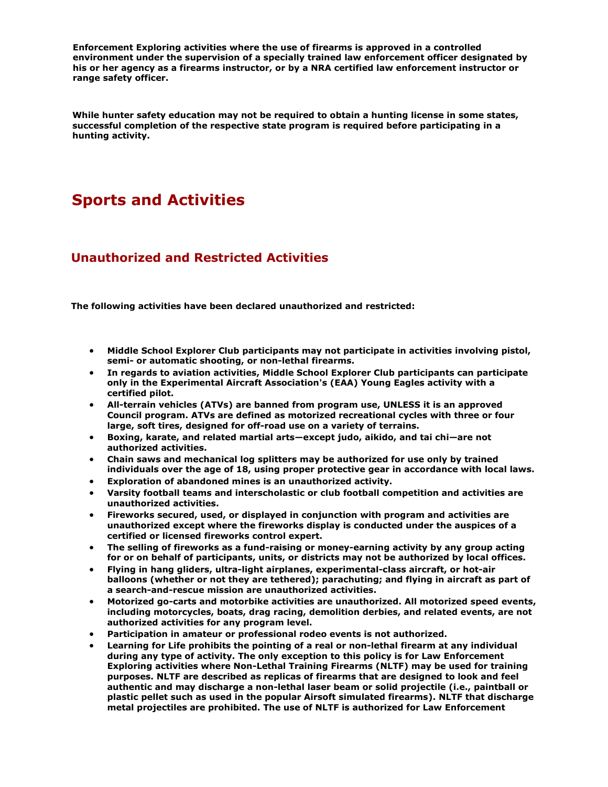**Enforcement Exploring activities where the use of firearms is approved in a controlled environment under the supervision of a specially trained law enforcement officer designated by his or her agency as a firearms instructor, or by a NRA certified law enforcement instructor or range safety officer.**

**While hunter safety education may not be required to obtain a hunting license in some states, successful completion of the respective state program is required before participating in a hunting activity.**

# **Sports and Activities**

# **Unauthorized and Restricted Activities**

**The following activities have been declared unauthorized and restricted:**

- **Middle School Explorer Club participants may not participate in activities involving pistol, semi- or automatic shooting, or non-lethal firearms.**
- **In regards to aviation activities, Middle School Explorer Club participants can participate only in the Experimental Aircraft Association's (EAA) Young Eagles activity with a certified pilot.**
- **All-terrain vehicles (ATVs) are banned from program use, UNLESS it is an approved Council program. ATVs are defined as motorized recreational cycles with three or four large, soft tires, designed for off-road use on a variety of terrains.**
- **Boxing, karate, and related martial arts—except judo, aikido, and tai chi—are not authorized activities.**
- **Chain saws and mechanical log splitters may be authorized for use only by trained individuals over the age of 18, using proper protective gear in accordance with local laws.**
- **Exploration of abandoned mines is an unauthorized activity.**
- **Varsity football teams and interscholastic or club football competition and activities are unauthorized activities.**
- **Fireworks secured, used, or displayed in conjunction with program and activities are unauthorized except where the fireworks display is conducted under the auspices of a certified or licensed fireworks control expert.**
- **The selling of fireworks as a fund-raising or money-earning activity by any group acting for or on behalf of participants, units, or districts may not be authorized by local offices.**
- **Flying in hang gliders, ultra-light airplanes, experimental-class aircraft, or hot-air balloons (whether or not they are tethered); parachuting; and flying in aircraft as part of a search-and-rescue mission are unauthorized activities.**
- **Motorized go-carts and motorbike activities are unauthorized. All motorized speed events, including motorcycles, boats, drag racing, demolition derbies, and related events, are not authorized activities for any program level.**
- **Participation in amateur or professional rodeo events is not authorized.**
- **Learning for Life prohibits the pointing of a real or non-lethal firearm at any individual during any type of activity. The only exception to this policy is for Law Enforcement Exploring activities where Non-Lethal Training Firearms (NLTF) may be used for training purposes. NLTF are described as replicas of firearms that are designed to look and feel authentic and may discharge a non-lethal laser beam or solid projectile (i.e., paintball or plastic pellet such as used in the popular Airsoft simulated firearms). NLTF that discharge metal projectiles are prohibited. The use of NLTF is authorized for Law Enforcement**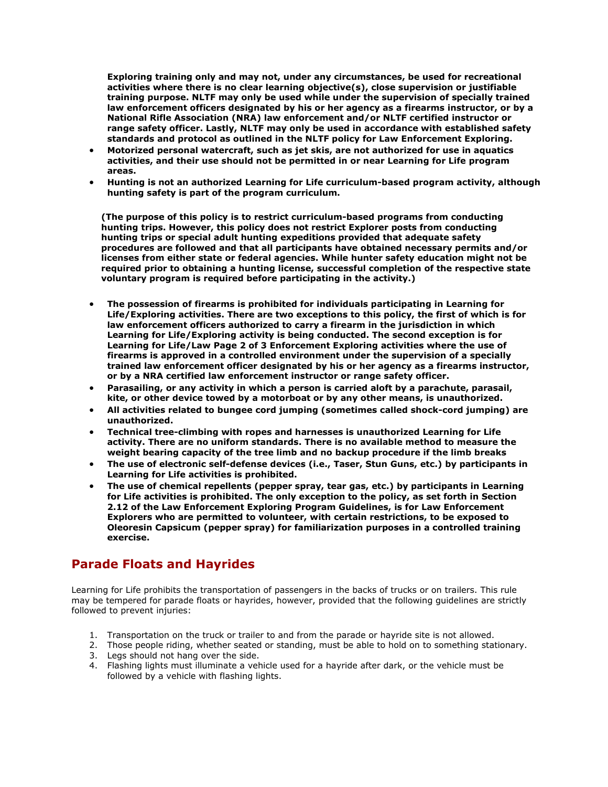**Exploring training only and may not, under any circumstances, be used for recreational activities where there is no clear learning objective(s), close supervision or justifiable training purpose. NLTF may only be used while under the supervision of specially trained law enforcement officers designated by his or her agency as a firearms instructor, or by a National Rifle Association (NRA) law enforcement and/or NLTF certified instructor or range safety officer. Lastly, NLTF may only be used in accordance with established safety standards and protocol as outlined in the NLTF policy for Law Enforcement Exploring.**

- **Motorized personal watercraft, such as jet skis, are not authorized for use in aquatics activities, and their use should not be permitted in or near Learning for Life program areas.**
- **Hunting is not an authorized Learning for Life curriculum-based program activity, although hunting safety is part of the program curriculum.**

**(The purpose of this policy is to restrict curriculum-based programs from conducting hunting trips. However, this policy does not restrict Explorer posts from conducting hunting trips or special adult hunting expeditions provided that adequate safety procedures are followed and that all participants have obtained necessary permits and/or licenses from either state or federal agencies. While hunter safety education might not be required prior to obtaining a hunting license, successful completion of the respective state voluntary program is required before participating in the activity.)**

- **The possession of firearms is prohibited for individuals participating in Learning for Life/Exploring activities. There are two exceptions to this policy, the first of which is for law enforcement officers authorized to carry a firearm in the jurisdiction in which Learning for Life/Exploring activity is being conducted. The second exception is for Learning for Life/Law Page 2 of 3 Enforcement Exploring activities where the use of firearms is approved in a controlled environment under the supervision of a specially trained law enforcement officer designated by his or her agency as a firearms instructor, or by a NRA certified law enforcement instructor or range safety officer.**
- **Parasailing, or any activity in which a person is carried aloft by a parachute, parasail, kite, or other device towed by a motorboat or by any other means, is unauthorized.**
- **All activities related to bungee cord jumping (sometimes called shock-cord jumping) are unauthorized.**
- **Technical tree-climbing with ropes and harnesses is unauthorized Learning for Life activity. There are no uniform standards. There is no available method to measure the weight bearing capacity of the tree limb and no backup procedure if the limb breaks**
- **The use of electronic self-defense devices (i.e., Taser, Stun Guns, etc.) by participants in Learning for Life activities is prohibited.**
- **The use of chemical repellents (pepper spray, tear gas, etc.) by participants in Learning for Life activities is prohibited. The only exception to the policy, as set forth in Section 2.12 of the Law Enforcement Exploring Program Guidelines, is for Law Enforcement Explorers who are permitted to volunteer, with certain restrictions, to be exposed to Oleoresin Capsicum (pepper spray) for familiarization purposes in a controlled training exercise.**

# **Parade Floats and Hayrides**

Learning for Life prohibits the transportation of passengers in the backs of trucks or on trailers. This rule may be tempered for parade floats or hayrides, however, provided that the following guidelines are strictly followed to prevent injuries:

- 1. Transportation on the truck or trailer to and from the parade or hayride site is not allowed.
- 2. Those people riding, whether seated or standing, must be able to hold on to something stationary.
- 3. Legs should not hang over the side.
- 4. Flashing lights must illuminate a vehicle used for a hayride after dark, or the vehicle must be followed by a vehicle with flashing lights.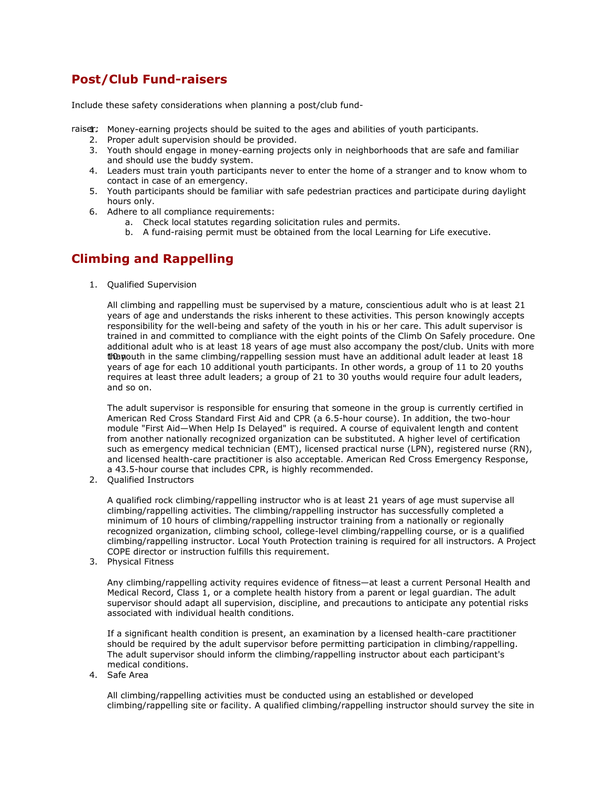# **Post/Club Fund-raisers**

Include these safety considerations when planning a post/club fund-

- raiser: Money-earning projects should be suited to the ages and abilities of youth participants.
	- 2. Proper adult supervision should be provided.
	- 3. Youth should engage in money-earning projects only in neighborhoods that are safe and familiar and should use the buddy system.
	- 4. Leaders must train youth participants never to enter the home of a stranger and to know whom to contact in case of an emergency.
	- 5. Youth participants should be familiar with safe pedestrian practices and participate during daylight hours only.
	- 6. Adhere to all compliance requirements:
		- a. Check local statutes regarding solicitation rules and permits.
		- b. A fund-raising permit must be obtained from the local Learning for Life executive.

# **Climbing and Rappelling**

1. Qualified Supervision

All climbing and rappelling must be supervised by a mature, conscientious adult who is at least 21 years of age and understands the risks inherent to these activities. This person knowingly accepts responsibility for the well-being and safety of the youth in his or her care. This adult supervisor is trained in and committed to compliance with the eight points of the Climb On Safely procedure. One additional adult who is at least 18 years of age must also accompany the post/club. Units with more than 10 uth in the same climbing/rappelling session must have an additional adult leader at least 18 years of age for each 10 additional youth participants. In other words, a group of 11 to 20 youths requires at least three adult leaders; a group of 21 to 30 youths would require four adult leaders, and so on.

The adult supervisor is responsible for ensuring that someone in the group is currently certified in American Red Cross Standard First Aid and CPR (a 6.5-hour course). In addition, the two-hour module "First Aid—When Help Is Delayed" is required. A course of equivalent length and content from another nationally recognized organization can be substituted. A higher level of certification such as emergency medical technician (EMT), licensed practical nurse (LPN), registered nurse (RN), and licensed health-care practitioner is also acceptable. American Red Cross Emergency Response, a 43.5-hour course that includes CPR, is highly recommended.

2. Qualified Instructors

A qualified rock climbing/rappelling instructor who is at least 21 years of age must supervise all climbing/rappelling activities. The climbing/rappelling instructor has successfully completed a minimum of 10 hours of climbing/rappelling instructor training from a nationally or regionally recognized organization, climbing school, college-level climbing/rappelling course, or is a qualified climbing/rappelling instructor. Local Youth Protection training is required for all instructors. A Project COPE director or instruction fulfills this requirement.

3. Physical Fitness

Any climbing/rappelling activity requires evidence of fitness—at least a current Personal Health and Medical Record, Class 1, or a complete health history from a parent or legal guardian. The adult supervisor should adapt all supervision, discipline, and precautions to anticipate any potential risks associated with individual health conditions.

If a significant health condition is present, an examination by a licensed health-care practitioner should be required by the adult supervisor before permitting participation in climbing/rappelling. The adult supervisor should inform the climbing/rappelling instructor about each participant's medical conditions.

4. Safe Area

All climbing/rappelling activities must be conducted using an established or developed climbing/rappelling site or facility. A qualified climbing/rappelling instructor should survey the site in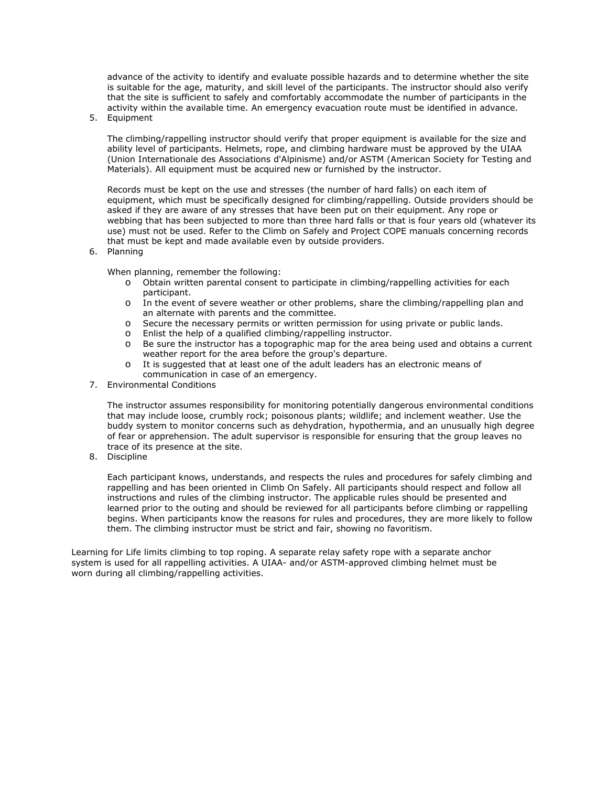advance of the activity to identify and evaluate possible hazards and to determine whether the site is suitable for the age, maturity, and skill level of the participants. The instructor should also verify that the site is sufficient to safely and comfortably accommodate the number of participants in the activity within the available time. An emergency evacuation route must be identified in advance.

5. Equipment

The climbing/rappelling instructor should verify that proper equipment is available for the size and ability level of participants. Helmets, rope, and climbing hardware must be approved by the UIAA (Union Internationale des Associations d'Alpinisme) and/or ASTM (American Society for Testing and Materials). All equipment must be acquired new or furnished by the instructor.

Records must be kept on the use and stresses (the number of hard falls) on each item of equipment, which must be specifically designed for climbing/rappelling. Outside providers should be asked if they are aware of any stresses that have been put on their equipment. Any rope or webbing that has been subjected to more than three hard falls or that is four years old (whatever its use) must not be used. Refer to the Climb on Safely and Project COPE manuals concerning records that must be kept and made available even by outside providers.

6. Planning

When planning, remember the following:

- o Obtain written parental consent to participate in climbing/rappelling activities for each participant.
- o In the event of severe weather or other problems, share the climbing/rappelling plan and an alternate with parents and the committee.
- $\circ$  Secure the necessary permits or written permission for using private or public lands.<br>  $\circ$  Fnlist the help of a qualified climbing/rappelling instructor.
- $\circ$  Enlist the help of a qualified climbing/rappelling instructor.<br>  $\circ$  Be sure the instructor has a topographic map for the area b
- Be sure the instructor has a topographic map for the area being used and obtains a current weather report for the area before the group's departure.
- o It is suggested that at least one of the adult leaders has an electronic means of communication in case of an emergency.
- 7. Environmental Conditions

The instructor assumes responsibility for monitoring potentially dangerous environmental conditions that may include loose, crumbly rock; poisonous plants; wildlife; and inclement weather. Use the buddy system to monitor concerns such as dehydration, hypothermia, and an unusually high degree of fear or apprehension. The adult supervisor is responsible for ensuring that the group leaves no trace of its presence at the site.

8. Discipline

Each participant knows, understands, and respects the rules and procedures for safely climbing and rappelling and has been oriented in Climb On Safely. All participants should respect and follow all instructions and rules of the climbing instructor. The applicable rules should be presented and learned prior to the outing and should be reviewed for all participants before climbing or rappelling begins. When participants know the reasons for rules and procedures, they are more likely to follow them. The climbing instructor must be strict and fair, showing no favoritism.

Learning for Life limits climbing to top roping. A separate relay safety rope with a separate anchor system is used for all rappelling activities. A UIAA- and/or ASTM-approved climbing helmet must be worn during all climbing/rappelling activities.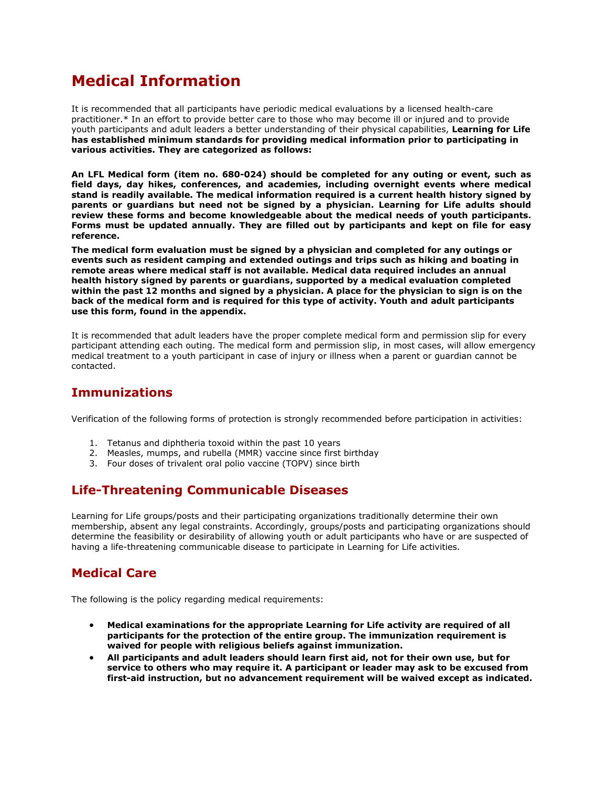# **Medical Information**

It is recommended that all participants have periodic medical evaluations by a licensed health-care practitioner.\* In an effort to provide better care to those who may become ill or injured and to provide youth participants and adult leaders a better understanding of their physical capabilities, **Learning for Life has established minimum standards for providing medical information prior to participating in various activities. They are categorized as follows:**

**An LFL Medical form (item no. 680-024) should be completed for any outing or event, such as field days, day hikes, conferences, and academies, including overnight events where medical stand is readily available. The medical information required is** *a current health history signed by parents or guardians but need not be signed by a physician.* **Learning for Life adults should review these forms and become knowledgeable about the medical needs of youth participants. Forms must be updated annually. They are filled out by participants and kept on file for easy reference.**

**The medical form evaluation must be signed by a physician and completed for any outings or events such as resident camping and extended outings and trips such as hiking and boating in remote areas where medical staff is not available. Medical data required includes** *an annual health history signed by parents or guardians, supported by a medical evaluation completed within the past 12 months and signed by a physician.* **A place for the physician to sign is on the back of the medical form and is required for this type of activity. Youth and adult participants use this form, found in the appendix.**

It is recommended that adult leaders have the proper complete medical form and permission slip for every participant attending each outing. The medical form and permission slip, in most cases, will allow emergency medical treatment to a youth participant in case of injury or illness when a parent or guardian cannot be contacted.

## **Immunizations**

Verification of the following forms of protection is strongly recommended before participation in activities:

- 1. Tetanus and diphtheria toxoid within the past 10 years
- 2. Measles, mumps, and rubella (MMR) vaccine since first birthday
- 3. Four doses of trivalent oral polio vaccine (TOPV) since birth

# **Life-Threatening Communicable Diseases**

Learning for Life groups/posts and their participating organizations traditionally determine their own membership, absent any legal constraints. Accordingly, groups/posts and participating organizations should determine the feasibility or desirability of allowing youth or adult participants who have or are suspected of having a life-threatening communicable disease to participate in Learning for Life activities.

# **Medical Care**

The following is the policy regarding medical requirements:

- **Medical examinations for the appropriate Learning for Life activity are required of all participants for the protection of the entire group. The immunization requirement is waived for people with religious beliefs against immunization.**
- **All participants and adult leaders should learn first aid, not for their own use, but for service to others who may require it. A participant or leader may ask to be excused from first-aid instruction, but no advancement requirement will be waived except as indicated.**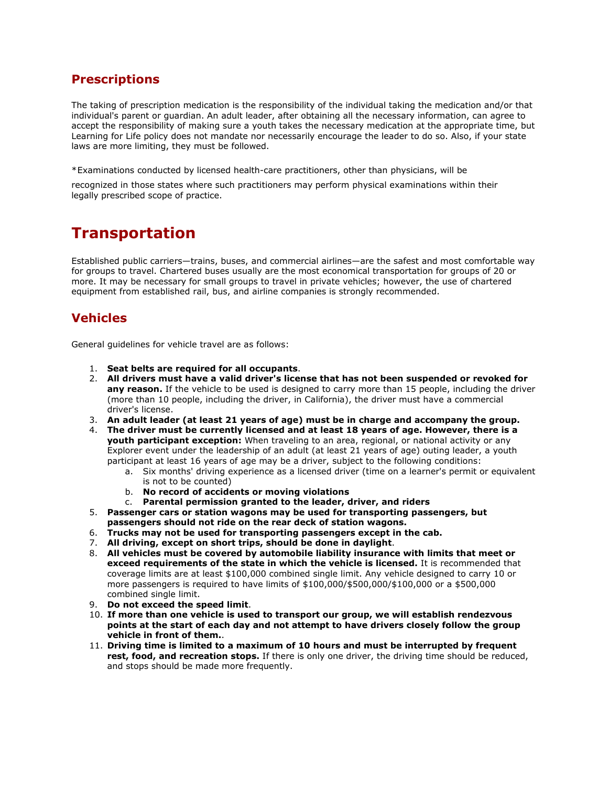# **Prescriptions**

The taking of prescription medication is the responsibility of the individual taking the medication and/or that individual's parent or guardian. An adult leader, after obtaining all the necessary information, can agree to accept the responsibility of making sure a youth takes the necessary medication at the appropriate time, but Learning for Life policy does not mandate nor necessarily encourage the leader to do so. Also, if your state laws are more limiting, they must be followed.

\*Examinations conducted by licensed health-care practitioners, other than physicians, will be

recognized in those states where such practitioners may perform physical examinations within their legally prescribed scope of practice.

# **Transportation**

Established public carriers—trains, buses, and commercial airlines—are the safest and most comfortable way for groups to travel. Chartered buses usually are the most economical transportation for groups of 20 or more. It may be necessary for small groups to travel in private vehicles; however, the use of chartered equipment from established rail, bus, and airline companies is strongly recommended.

# **Vehicles**

General guidelines for vehicle travel are as follows:

- 1. **Seat belts are required for all occupants**.
- 2. **All drivers must have a valid driver's license that has not been suspended or revoked for** any reason. If the vehicle to be used is designed to carry more than 15 people, including the driver (more than 10 people, including the driver, in California), the driver must have a commercial driver's license.
- 3. **An adult leader (at least 21 years of age) must be in charge and accompany the group.**
- 4. **The driver must be currently licensed and at least 18 years of age. However, there is a youth participant exception:** When traveling to an area, regional, or national activity or any Explorer event under the leadership of an adult (at least 21 years of age) outing leader, a youth participant at least 16 years of age may be a driver, subject to the following conditions:
	- a. Six months' driving experience as a licensed driver (time on a learner's permit or equivalent is not to be counted)
	- b. **No record of accidents or moving violations**
	- c. **Parental permission granted to the leader, driver, and riders**
- 5. **Passenger cars or station wagons may be used for transporting passengers, but passengers should not ride on the rear deck of station wagons.**
- 6. **Trucks may not be used for transporting passengers except in the cab.**
- 7. **All driving, except on short trips, should be done in daylight**.
- 8. **All vehicles must be covered by automobile liability insurance with limits that meet or exceed requirements of the state in which the vehicle is licensed.** It is recommended that coverage limits are at least \$100,000 combined single limit. Any vehicle designed to carry 10 or more passengers is required to have limits of \$100,000/\$500,000/\$100,000 or a \$500,000 combined single limit.
- 9. **Do not exceed the speed limit**.
- 10. **If more than one vehicle is used to transport our group, we will establish rendezvous points at the start of each day and not attempt to have drivers closely follow the group vehicle in front of them.**.
- 11. **Driving time is limited to a maximum of 10 hours and must be interrupted by frequent rest, food, and recreation stops.** If there is only one driver, the driving time should be reduced, and stops should be made more frequently.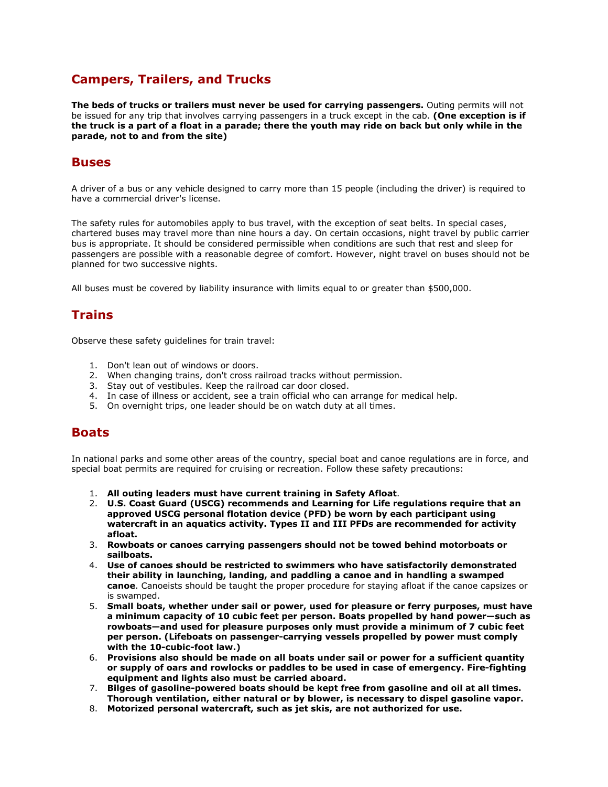# **Campers, Trailers, and Trucks**

**The beds of trucks or trailers must never be used for carrying passengers.** Outing permits will not be issued for any trip that involves carrying passengers in a truck except in the cab. **(One exception is if the truck is a part of a float in a parade; there the youth may ride on back but only while in the parade, not to and from the site)**

### **Buses**

A driver of a bus or any vehicle designed to carry more than 15 people (including the driver) is required to have a commercial driver's license.

The safety rules for automobiles apply to bus travel, with the exception of seat belts. In special cases, chartered buses may travel more than nine hours a day. On certain occasions, night travel by public carrier bus is appropriate. It should be considered permissible when conditions are such that rest and sleep for passengers are possible with a reasonable degree of comfort. However, night travel on buses should not be planned for two successive nights.

All buses must be covered by liability insurance with limits equal to or greater than \$500,000.

## **Trains**

Observe these safety guidelines for train travel:

- 1. Don't lean out of windows or doors.
- 2. When changing trains, don't cross railroad tracks without permission.
- 3. Stay out of vestibules. Keep the railroad car door closed.
- 4. In case of illness or accident, see a train official who can arrange for medical help.
- 5. On overnight trips, one leader should be on watch duty at all times.

### **Boats**

In national parks and some other areas of the country, special boat and canoe regulations are in force, and special boat permits are required for cruising or recreation. Follow these safety precautions:

- 1. **All outing leaders must have current training in Safety Afloat**.
- 2. **U.S. Coast Guard (USCG) recommends and Learning for Life regulations require that an approved USCG personal flotation device (PFD) be worn by each participant using watercraft in an aquatics activity. Types II and III PFDs are recommended for activity afloat.**
- 3. **Rowboats or canoes carrying passengers should not be towed behind motorboats or sailboats.**
- 4. **Use of canoes should be restricted to swimmers who have satisfactorily demonstrated their ability in launching, landing, and paddling a canoe and in handling a swamped canoe**. Canoeists should be taught the proper procedure for staying afloat if the canoe capsizes or is swamped.
- 5. **Small boats, whether under sail or power, used for pleasure or ferry purposes, must have a minimum capacity of 10 cubic feet per person. Boats propelled by hand power—such as rowboats—and used for pleasure purposes only must provide a minimum of 7 cubic feet per person. (Lifeboats on passenger-carrying vessels propelled by power must comply with the 10-cubic-foot law.)**
- 6. **Provisions also should be made on all boats under sail or power for a sufficient quantity or supply of oars and rowlocks or paddles to be used in case of emergency. Fire-fighting equipment and lights also must be carried aboard.**
- 7. **Bilges of gasoline-powered boats should be kept free from gasoline and oil at all times. Thorough ventilation, either natural or by blower, is necessary to dispel gasoline vapor.**
- 8. **Motorized personal watercraft, such as jet skis, are not authorized for use.**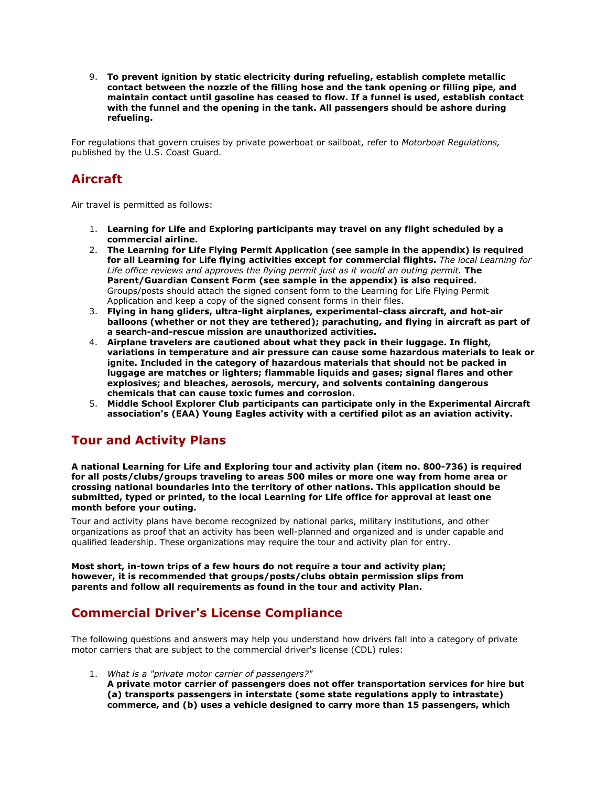9. **To prevent ignition by static electricity during refueling, establish complete metallic contact between the nozzle of the filling hose and the tank opening or filling pipe, and maintain contact until gasoline has ceased to flow. If a funnel is used, establish contact with the funnel and the opening in the tank. All passengers should be ashore during refueling.**

For regulations that govern cruises by private powerboat or sailboat, refer to *Motorboat Regulations,* published by the U.S. Coast Guard.

# **Aircraft**

Air travel is permitted as follows:

- 1. **Learning for Life and Exploring participants may travel on any flight scheduled by a commercial airline.**
- 2. **The Learning for Life Flying Permit Application (see sample in the appendix) is required for all Learning for Life flying activities except for commercial flights.** *The local Learning for Life office reviews and approves the flying permit just as it would an outing permit.* **The Parent/Guardian Consent Form (see sample in the appendix) is also required.** Groups/posts should attach the signed consent form to the Learning for Life Flying Permit Application and keep a copy of the signed consent forms in their files.
- 3. **Flying in hang gliders, ultra-light airplanes, experimental-class aircraft, and hot-air balloons (whether or not they are tethered); parachuting, and flying in aircraft as part of a search-and-rescue mission are unauthorized activities.**
- 4. **Airplane travelers are cautioned about what they pack in their luggage. In flight, variations in temperature and air pressure can cause some hazardous materials to leak or ignite. Included in the category of hazardous materials that should not be packed in luggage are matches or lighters; flammable liquids and gases; signal flares and other explosives; and bleaches, aerosols, mercury, and solvents containing dangerous chemicals that can cause toxic fumes and corrosion.**
- 5. **Middle School Explorer Club participants can participate only in the Experimental Aircraft association's (EAA) Young Eagles activity with a certified pilot as an aviation activity.**

# **Tour and Activity Plans**

**A national Learning for Life and Exploring tour and activity plan (item no. 800-736) is required for all posts/clubs/groups traveling to areas 500 miles or more one way from home area or crossing national boundaries into the territory of other nations. This application should be submitted, typed or printed, to the local Learning for Life office for approval at least one month before your outing.**

Tour and activity plans have become recognized by national parks, military institutions, and other organizations as proof that an activity has been well-planned and organized and is under capable and qualified leadership. These organizations may require the tour and activity plan for entry.

**Most short, in-town trips of a few hours do not require a tour and activity plan; however, it is recommended that groups/posts/clubs obtain permission slips from parents and follow all requirements as found in the tour and activity Plan.**

# **Commercial Driver's License Compliance**

The following questions and answers may help you understand how drivers fall into a category of private motor carriers that are subject to the commercial driver's license (CDL) rules:

- 1. *What is a "private motor carrier of passengers?"*
	- **A private motor carrier of passengers does not offer transportation services for hire but (a) transports passengers in interstate (some state regulations apply to intrastate) commerce, and (b) uses a vehicle designed to carry more than 15 passengers, which**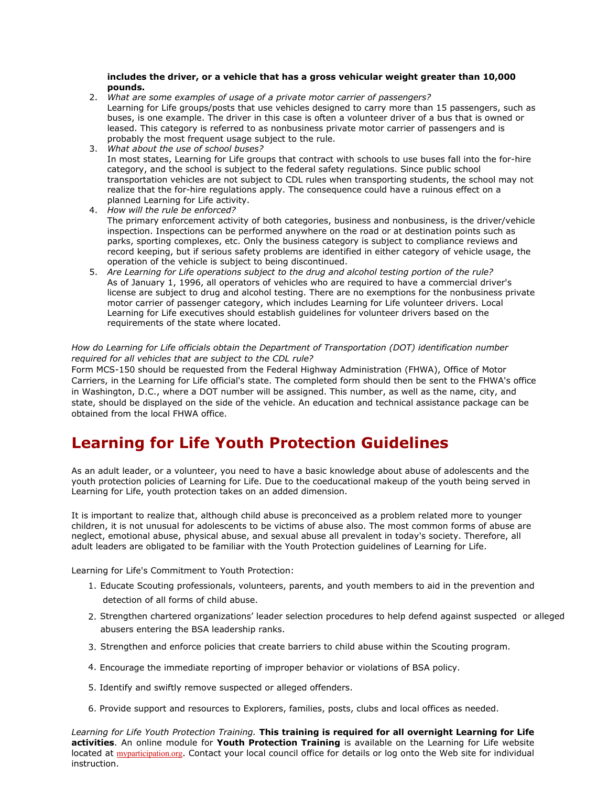#### **includes the driver, or a vehicle that has a gross vehicular weight greater than 10,000 pounds.**

- 2. *What are some examples of usage of a private motor carrier of passengers?* Learning for Life groups/posts that use vehicles designed to carry more than 15 passengers, such as buses, is one example. The driver in this case is often a volunteer driver of a bus that is owned or leased. This category is referred to as nonbusiness private motor carrier of passengers and is probably the most frequent usage subject to the rule.
- 3. *What about the use of school buses?* In most states, Learning for Life groups that contract with schools to use buses fall into the for-hire category, and the school is subject to the federal safety regulations. Since public school transportation vehicles are not subject to CDL rules when transporting students, the school may not realize that the for-hire regulations apply. The consequence could have a ruinous effect on a planned Learning for Life activity.
- 4. *How will the rule be enforced?* The primary enforcement activity of both categories, business and nonbusiness, is the driver/vehicle inspection. Inspections can be performed anywhere on the road or at destination points such as parks, sporting complexes, etc. Only the business category is subject to compliance reviews and record keeping, but if serious safety problems are identified in either category of vehicle usage, the operation of the vehicle is subject to being discontinued.
- 5. *Are Learning for Life operations subject to the drug and alcohol testing portion of the rule?* As of January 1, 1996, all operators of vehicles who are required to have a commercial driver's license are subject to drug and alcohol testing. There are no exemptions for the nonbusiness private motor carrier of passenger category, which includes Learning for Life volunteer drivers. Local Learning for Life executives should establish guidelines for volunteer drivers based on the requirements of the state where located.

#### *How do Learning for Life officials obtain the Department of Transportation (DOT) identification number required for all vehicles that are subject to the CDL rule?*

Form MCS-150 should be requested from the Federal Highway Administration (FHWA), Office of Motor Carriers, in the Learning for Life official's state. The completed form should then be sent to the FHWA's office in Washington, D.C., where a DOT number will be assigned. This number, as well as the name, city, and state, should be displayed on the side of the vehicle. An education and technical assistance package can be obtained from the local FHWA office.

# **Learning for Life Youth Protection Guidelines**

As an adult leader, or a volunteer, you need to have a basic knowledge about abuse of adolescents and the youth protection policies of Learning for Life. Due to the coeducational makeup of the youth being served in Learning for Life, youth protection takes on an added dimension.

It is important to realize that, although child abuse is preconceived as a problem related more to younger children, it is not unusual for adolescents to be victims of abuse also. The most common forms of abuse are neglect, emotional abuse, physical abuse, and sexual abuse all prevalent in today's society. Therefore, all adult leaders are obligated to be familiar with the Youth Protection guidelines of Learning for Life.

Learning for Life's Commitment to Youth Protection:

- 1. Educate Scouting professionals, volunteers, parents, and youth members to aid in the prevention and detection of all forms of child abuse.
- 2. Strengthen chartered organizations' leader selection procedures to help defend against suspected or alleged abusers entering the BSA leadership ranks.
- 3. Strengthen and enforce policies that create barriers to child abuse within the Scouting program.
- 4. Encourage the immediate reporting of improper behavior or violations of BSA policy.
- 5. Identify and swiftly remove suspected or alleged offenders.
- 6. Provide support and resources to Explorers, families, posts, clubs and local offices as needed.

*Learning for Life Youth Protection Training.* **This training is required for all overnight Learning for Life activities**. An online module for **Youth Protection Training** is available on the Learning for Life website located at myparticipation.org. Contact your local council office for details or log onto the Web site for individual instruction.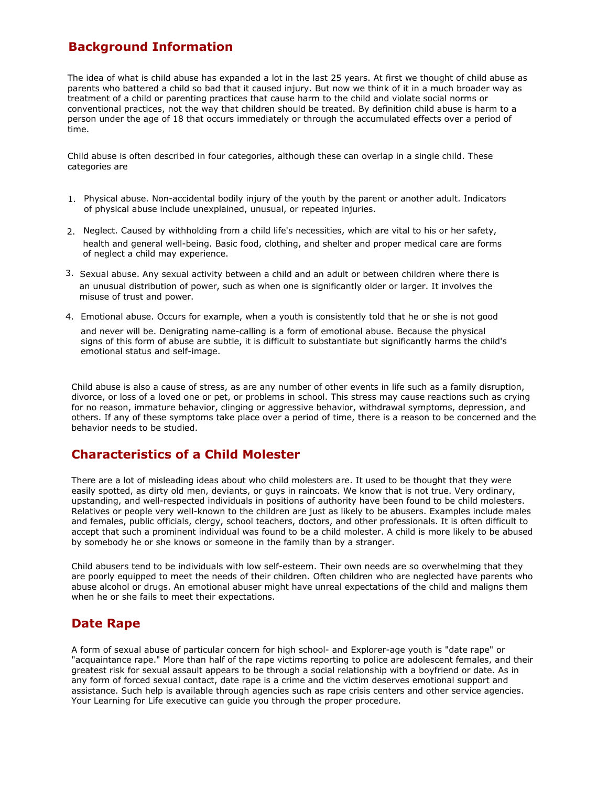# **Background Information**

The idea of what is child abuse has expanded a lot in the last 25 years. At first we thought of child abuse as parents who battered a child so bad that it caused injury. But now we think of it in a much broader way as treatment of a child or parenting practices that cause harm to the child and violate social norms or conventional practices, not the way that children should be treated. By definition child abuse is harm to a person under the age of 18 that occurs immediately or through the accumulated effects over a period of time.

Child abuse is often described in four categories, although these can overlap in a single child. These categories are

- 1. Physical abuse. Non-accidental bodily injury of the youth by the parent or another adult. Indicators of physical abuse include unexplained, unusual, or repeated injuries.
- 2. Neglect. Caused by withholding from a child life's necessities, which are vital to his or her safety, health and general well-being. Basic food, clothing, and shelter and proper medical care are forms of neglect a child may experience.
- 3. Sexual abuse. Any sexual activity between a child and an adult or between children where there is an unusual distribution of power, such as when one is significantly older or larger. It involves the misuse of trust and power.
- 4. Emotional abuse. Occurs for example, when a youth is consistently told that he or she is not good and never will be. Denigrating name-calling is a form of emotional abuse. Because the physical signs of this form of abuse are subtle, it is difficult to substantiate but significantly harms the child's emotional status and self-image.

Child abuse is also a cause of stress, as are any number of other events in life such as a family disruption, divorce, or loss of a loved one or pet, or problems in school. This stress may cause reactions such as crying for no reason, immature behavior, clinging or aggressive behavior, withdrawal symptoms, depression, and others. If any of these symptoms take place over a period of time, there is a reason to be concerned and the behavior needs to be studied.

# **Characteristics of a Child Molester**

There are a lot of misleading ideas about who child molesters are. It used to be thought that they were easily spotted, as dirty old men, deviants, or guys in raincoats. We know that is not true. Very ordinary, upstanding, and well-respected individuals in positions of authority have been found to be child molesters. Relatives or people very well-known to the children are just as likely to be abusers. Examples include males and females, public officials, clergy, school teachers, doctors, and other professionals. It is often difficult to accept that such a prominent individual was found to be a child molester. A child is more likely to be abused by somebody he or she knows or someone in the family than by a stranger.

Child abusers tend to be individuals with low self-esteem. Their own needs are so overwhelming that they are poorly equipped to meet the needs of their children. Often children who are neglected have parents who abuse alcohol or drugs. An emotional abuser might have unreal expectations of the child and maligns them when he or she fails to meet their expectations.

# **Date Rape**

A form of sexual abuse of particular concern for high school- and Explorer-age youth is "date rape" or "acquaintance rape." More than half of the rape victims reporting to police are adolescent females, and their greatest risk for sexual assault appears to be through a social relationship with a boyfriend or date. As in any form of forced sexual contact, date rape is a crime and the victim deserves emotional support and assistance. Such help is available through agencies such as rape crisis centers and other service agencies. Your Learning for Life executive can guide you through the proper procedure.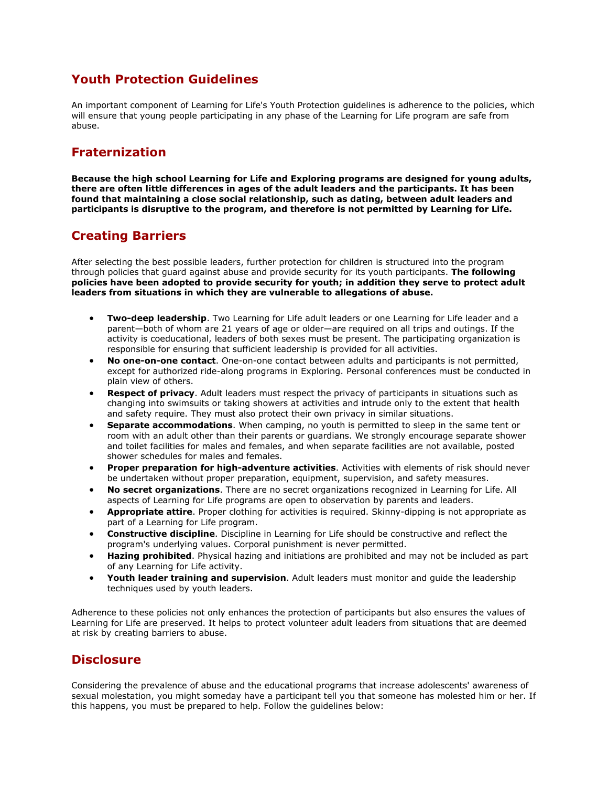## **Youth Protection Guidelines**

An important component of Learning for Life's Youth Protection guidelines is adherence to the policies, which will ensure that young people participating in any phase of the Learning for Life program are safe from abuse.

# **Fraternization**

**Because the high school Learning for Life and Exploring programs are designed for young adults, there are often little differences in ages of the adult leaders and the participants. It has been found that maintaining a close social relationship, such as dating, between adult leaders and participants is disruptive to the program, and therefore is not permitted by Learning for Life.**

# **Creating Barriers**

After selecting the best possible leaders, further protection for children is structured into the program through policies that guard against abuse and provide security for its youth participants. **The following policies have been adopted to provide security for youth; in addition they serve to protect adult leaders from situations in which they are vulnerable to allegations of abuse.**

- **Two-deep leadership**. Two Learning for Life adult leaders or one Learning for Life leader and a parent—both of whom are 21 years of age or older—are required on all trips and outings. If the activity is coeducational, leaders of both sexes must be present. The participating organization is responsible for ensuring that sufficient leadership is provided for all activities.
- **No one-on-one contact**. One-on-one contact between adults and participants is not permitted, except for authorized ride-along programs in Exploring. Personal conferences must be conducted in plain view of others.
- **Respect of privacy**. Adult leaders must respect the privacy of participants in situations such as changing into swimsuits or taking showers at activities and intrude only to the extent that health and safety require. They must also protect their own privacy in similar situations.
- **Separate accommodations**. When camping, no youth is permitted to sleep in the same tent or room with an adult other than their parents or guardians. We strongly encourage separate shower and toilet facilities for males and females, and when separate facilities are not available, posted shower schedules for males and females.
- **Proper preparation for high-adventure activities**. Activities with elements of risk should never be undertaken without proper preparation, equipment, supervision, and safety measures.
- **No secret organizations**. There are no secret organizations recognized in Learning for Life. All aspects of Learning for Life programs are open to observation by parents and leaders.
- **Appropriate attire**. Proper clothing for activities is required. Skinny-dipping is not appropriate as part of a Learning for Life program.
- **Constructive discipline**. Discipline in Learning for Life should be constructive and reflect the program's underlying values. Corporal punishment is never permitted.
- **Hazing prohibited**. Physical hazing and initiations are prohibited and may not be included as part of any Learning for Life activity.
- **Youth leader training and supervision**. Adult leaders must monitor and guide the leadership techniques used by youth leaders.

Adherence to these policies not only enhances the protection of participants but also ensures the values of Learning for Life are preserved. It helps to protect volunteer adult leaders from situations that are deemed at risk by creating barriers to abuse.

# **Disclosure**

Considering the prevalence of abuse and the educational programs that increase adolescents' awareness of sexual molestation, you might someday have a participant tell you that someone has molested him or her. If this happens, you must be prepared to help. Follow the guidelines below: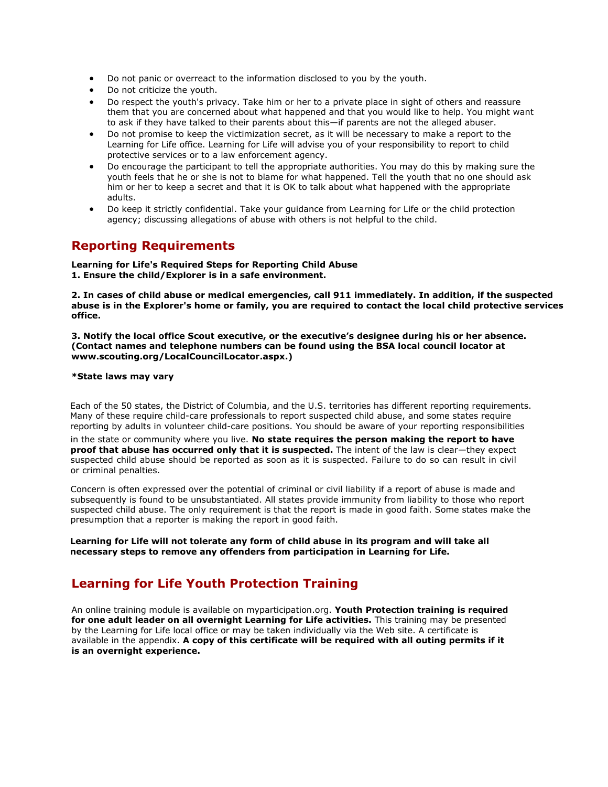- Do not panic or overreact to the information disclosed to you by the youth.
- Do not criticize the youth.
- Do respect the youth's privacy. Take him or her to a private place in sight of others and reassure them that you are concerned about what happened and that you would like to help. You might want to ask if they have talked to their parents about this—if parents are not the alleged abuser.
- Do not promise to keep the victimization secret, as it will be necessary to make a report to the Learning for Life office. Learning for Life will advise you of your responsibility to report to child protective services or to a law enforcement agency.
- Do encourage the participant to tell the appropriate authorities. You may do this by making sure the youth feels that he or she is not to blame for what happened. Tell the youth that no one should ask him or her to keep a secret and that it is OK to talk about what happened with the appropriate adults.
- Do keep it strictly confidential. Take your guidance from Learning for Life or the child protection agency; discussing allegations of abuse with others is not helpful to the child.

# **Reporting Requirements**

**Learning for Life's Required Steps for Reporting Child Abuse 1. Ensure the child/Explorer is in a safe environment.**

**2. In cases of child abuse or medical emergencies, call 911 immediately. In addition, if the suspected abuse is in the Explorer's home or family, you are required to contact the local child protective services office.**

**3. Notify the local office Scout executive, or the executive's designee during his or her absence. (Contact names and telephone numbers can be found using the BSA local council locator at www.scouting.org/LocalCouncilLocator.aspx.)**

#### **\*State laws may vary**

Each of the 50 states, the District of Columbia, and the U.S. territories has different reporting requirements. Many of these require child-care professionals to report suspected child abuse, and some states require reporting by adults in volunteer child-care positions. You should be aware of your reporting responsibilities

in the state or community where you live. **No state requires the person making the report to have proof that abuse has occurred only that it is suspected.** The intent of the law is clear—they expect suspected child abuse should be reported as soon as it is suspected. Failure to do so can result in civil or criminal penalties.

Concern is often expressed over the potential of criminal or civil liability if a report of abuse is made and subsequently is found to be unsubstantiated. All states provide immunity from liability to those who report suspected child abuse. The only requirement is that the report is made in good faith. Some states make the presumption that a reporter is making the report in good faith.

**Learning for Life will not tolerate any form of child abuse in its program and will take all necessary steps to remove any offenders from participation in Learning for Life.**

# **Learning for Life Youth Protection Training**

An online training module is available on myparticipation.org. **Youth Protection training is required for one adult leader on all overnight Learning for Life activities.** This training may be presented by the Learning for Life local office or may be taken individually via the Web site. A certificate is available in the appendix. **A copy of this certificate will be required with all outing permits if it is an overnight experience.**